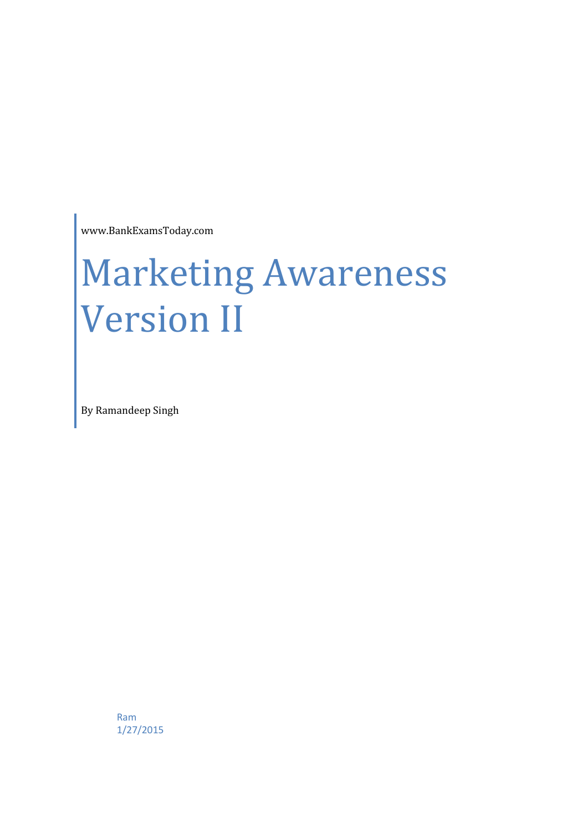www.BankExamsToday.com

# Marketing Awareness Version II

By Ramandeep Singh

Ram 1/27/2015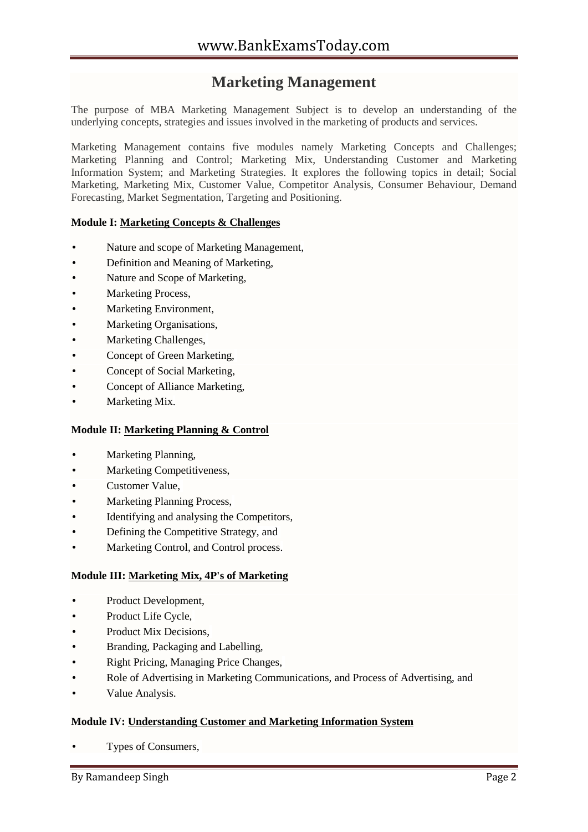# **Marketing Management**

The purpose of MBA Marketing Management Subject is to develop an understanding of the underlying concepts, strategies and issues involved in the marketing of products and services.

Marketing Management contains five modules namely Marketing Concepts and Challenges; Marketing Planning and Control; Marketing Mix, Understanding Customer and Marketing Information System; and Marketing Strategies. It explores the following topics in detail; Social Marketing, Marketing Mix, Customer Value, Competitor Analysis, Consumer Behaviour, Demand Forecasting, Market Segmentation, Targeting and Positioning.

# **Module I: Marketing Concepts & Challenges**

- Nature and scope of Marketing Management,
- Definition and Meaning of Marketing,
- Nature and Scope of Marketing,
- Marketing Process,
- Marketing Environment,
- Marketing Organisations,
- Marketing Challenges,
- Concept of Green Marketing,
- Concept of Social Marketing,
- Concept of Alliance Marketing,
- Marketing Mix.

# **Module II: Marketing Planning & Control**

- Marketing Planning,
- Marketing Competitiveness,
- Customer Value,
- Marketing Planning Process,
- Identifying and analysing the Competitors,
- Defining the Competitive Strategy, and
- Marketing Control, and Control process.

# **Module III: Marketing Mix, 4P's of Marketing**

- Product Development,
- Product Life Cycle.
- Product Mix Decisions,
- Branding, Packaging and Labelling,
- Right Pricing, Managing Price Changes,
- Role of Advertising in Marketing Communications, and Process of Advertising, and
- Value Analysis.

# **Module IV: Understanding Customer and Marketing Information System**

Types of Consumers,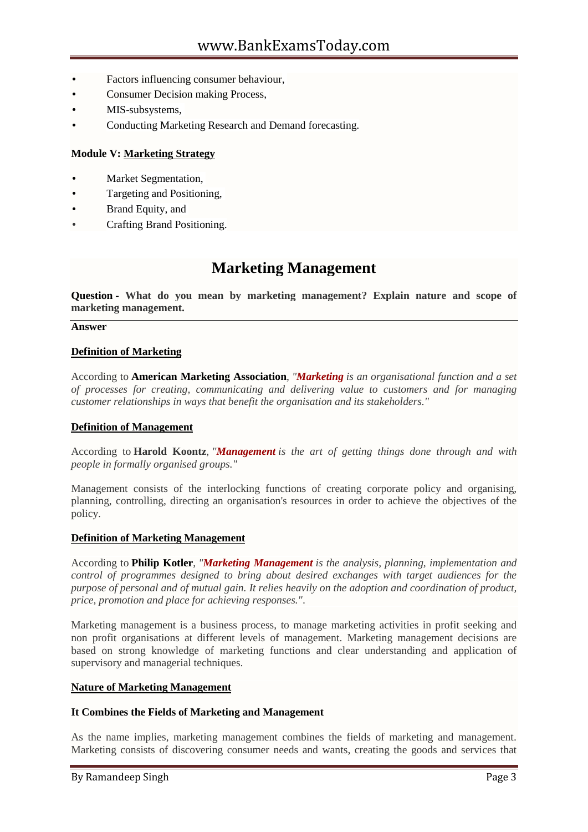- Factors influencing consumer behaviour,
- Consumer Decision making Process,
- MIS-subsystems,
- Conducting Marketing Research and Demand forecasting.

# **Module V: Marketing Strategy**

- Market Segmentation,
- Targeting and Positioning,
- Brand Equity, and
- Crafting Brand Positioning.

# **Marketing Management**

**Question - What do you mean by marketing management? Explain nature and scope of marketing management.**

#### **Answer**

#### **Definition of Marketing**

According to **American Marketing Association**, *"Marketing is an organisational function and a set of processes for creating, communicating and delivering value to customers and for managing customer relationships in ways that benefit the organisation and its stakeholders."*

#### **Definition of Management**

According to **Harold Koontz**, *"Management is the art of getting things done through and with people in formally organised groups."*

Management consists of the interlocking functions of creating corporate policy and organising, planning, controlling, directing an organisation's resources in order to achieve the objectives of the policy.

# **Definition of Marketing Management**

According to **Philip Kotler**, *"Marketing Management is the analysis, planning, implementation and control of programmes designed to bring about desired exchanges with target audiences for the purpose of personal and of mutual gain. It relies heavily on the adoption and coordination of product, price, promotion and place for achieving responses."*.

Marketing management is a business process, to manage marketing activities in profit seeking and non profit organisations at different levels of management. Marketing management decisions are based on strong knowledge of marketing functions and clear understanding and application of supervisory and managerial techniques.

#### **Nature of Marketing Management**

# **It Combines the Fields of Marketing and Management**

As the name implies, marketing management combines the fields of marketing and management. Marketing consists of discovering consumer needs and wants, creating the goods and services that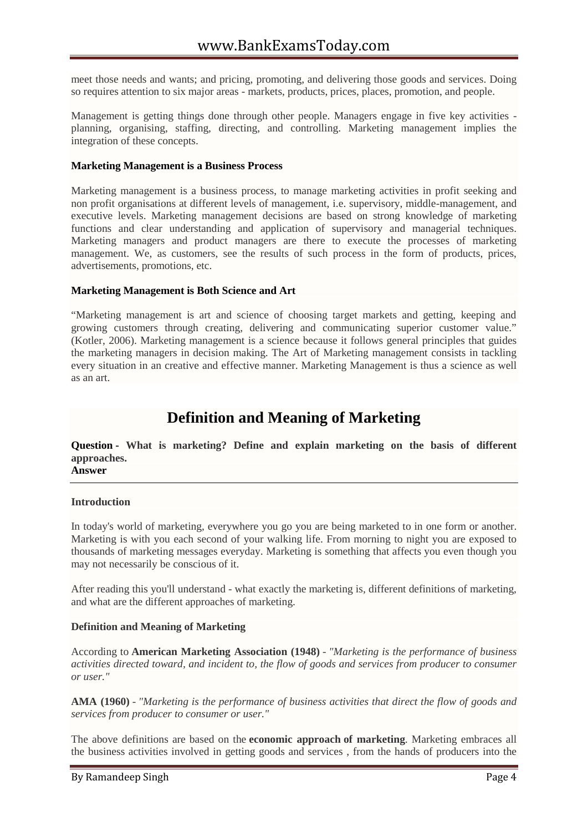meet those needs and wants; and pricing, promoting, and delivering those goods and services. Doing so requires attention to six major areas - markets, products, prices, places, promotion, and people.

Management is getting things done through other people. Managers engage in five key activities planning, organising, staffing, directing, and controlling. Marketing management implies the integration of these concepts.

### **Marketing Management is a Business Process**

Marketing management is a business process, to manage marketing activities in profit seeking and non profit organisations at different levels of management, i.e. supervisory, middle-management, and executive levels. Marketing management decisions are based on strong knowledge of marketing functions and clear understanding and application of supervisory and managerial techniques. Marketing managers and product managers are there to execute the processes of marketing management. We, as customers, see the results of such process in the form of products, prices, advertisements, promotions, etc.

#### **Marketing Management is Both Science and Art**

"Marketing management is art and science of choosing target markets and getting, keeping and growing customers through creating, delivering and communicating superior customer value." (Kotler, 2006). Marketing management is a science because it follows general principles that guides the marketing managers in decision making. The Art of Marketing management consists in tackling every situation in an creative and effective manner. Marketing Management is thus a science as well as an art.

# **Definition and Meaning of Marketing**

**Question - What is marketing? Define and explain marketing on the basis of different approaches.**

**Answer**

#### **Introduction**

In today's world of marketing, everywhere you go you are being marketed to in one form or another. Marketing is with you each second of your walking life. From morning to night you are exposed to thousands of marketing messages everyday. Marketing is something that affects you even though you may not necessarily be conscious of it.

After reading this you'll understand - what exactly the marketing is, different definitions of marketing, and what are the different approaches of marketing.

# **Definition and Meaning of Marketing**

According to **American Marketing Association (1948)** - *"Marketing is the performance of business activities directed toward, and incident to, the flow of goods and services from producer to consumer or user."*

**AMA (1960)** - *"Marketing is the performance of business activities that direct the flow of goods and services from producer to consumer or user."*

The above definitions are based on the **economic approach of marketing**. Marketing embraces all the business activities involved in getting goods and services , from the hands of producers into the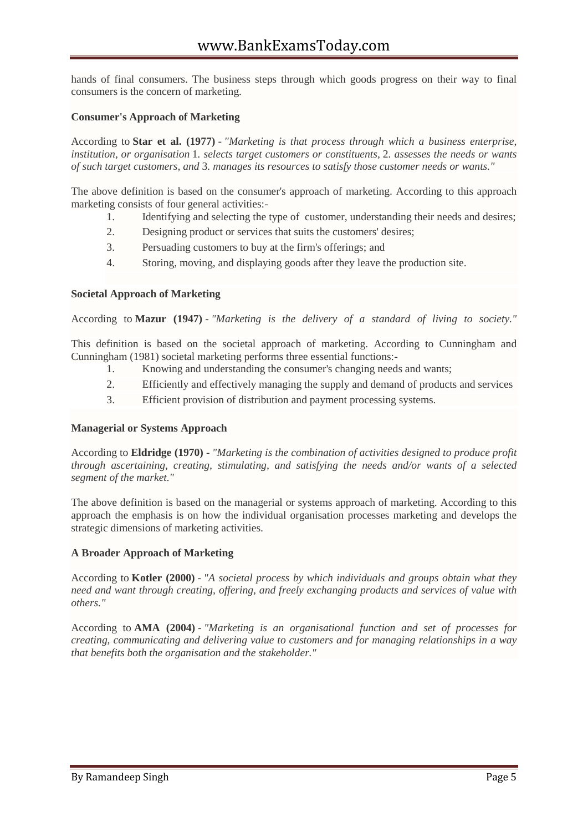hands of final consumers. The business steps through which goods progress on their way to final consumers is the concern of marketing.

# **Consumer's Approach of Marketing**

According to **Star et al. (1977)** - *"Marketing is that process through which a business enterprise, institution, or organisation* 1*. selects target customers or constituents,* 2*. assesses the needs or wants of such target customers, and* 3*. manages its resources to satisfy those customer needs or wants."*

The above definition is based on the consumer's approach of marketing. According to this approach marketing consists of four general activities:-

- 1. Identifying and selecting the type of customer, understanding their needs and desires;
- 2. Designing product or services that suits the customers' desires;
- 3. Persuading customers to buy at the firm's offerings; and
- 4. Storing, moving, and displaying goods after they leave the production site.

#### **Societal Approach of Marketing**

According to **Mazur (1947)** - *"Marketing is the delivery of a standard of living to society."*

This definition is based on the societal approach of marketing. According to Cunningham and Cunningham (1981) societal marketing performs three essential functions:-

- 1. Knowing and understanding the consumer's changing needs and wants;
- 2. Efficiently and effectively managing the supply and demand of products and services
- 3. Efficient provision of distribution and payment processing systems.

#### **Managerial or Systems Approach**

According to **Eldridge (1970)** - *"Marketing is the combination of activities designed to produce profit through ascertaining, creating, stimulating, and satisfying the needs and/or wants of a selected segment of the market."*

The above definition is based on the managerial or systems approach of marketing. According to this approach the emphasis is on how the individual organisation processes marketing and develops the strategic dimensions of marketing activities.

# **A Broader Approach of Marketing**

According to **Kotler (2000)** - *"A societal process by which individuals and groups obtain what they need and want through creating, offering, and freely exchanging products and services of value with others."*

According to **AMA (2004)** - *"Marketing is an organisational function and set of processes for creating, communicating and delivering value to customers and for managing relationships in a way that benefits both the organisation and the stakeholder."*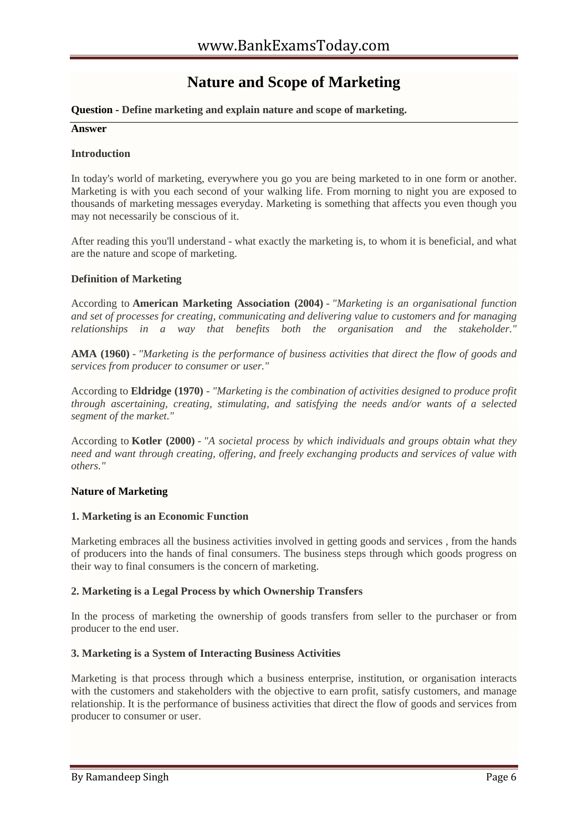# **Nature and Scope of Marketing**

# **Question - Define marketing and explain nature and scope of marketing.**

#### **Answer**

### **Introduction**

In today's world of marketing, everywhere you go you are being marketed to in one form or another. Marketing is with you each second of your walking life. From morning to night you are exposed to thousands of marketing messages everyday. Marketing is something that affects you even though you may not necessarily be conscious of it.

After reading this you'll understand - what exactly the marketing is, to whom it is beneficial, and what are the nature and scope of marketing.

# **Definition of Marketing**

According to **American Marketing Association (2004)** - *"Marketing is an organisational function and set of processes for creating, communicating and delivering value to customers and for managing relationships in a way that benefits both the organisation and the stakeholder."*

**AMA (1960)** - *"Marketing is the performance of business activities that direct the flow of goods and services from producer to consumer or user."*

According to **Eldridge (1970)** - *"Marketing is the combination of activities designed to produce profit through ascertaining, creating, stimulating, and satisfying the needs and/or wants of a selected segment of the market."*

According to **Kotler (2000)** - *"A societal process by which individuals and groups obtain what they need and want through creating, offering, and freely exchanging products and services of value with others."*

# **Nature of Marketing**

#### **1. Marketing is an Economic Function**

Marketing embraces all the business activities involved in getting goods and services , from the hands of producers into the hands of final consumers. The business steps through which goods progress on their way to final consumers is the concern of marketing.

#### **2. Marketing is a Legal Process by which Ownership Transfers**

In the process of marketing the ownership of goods transfers from seller to the purchaser or from producer to the end user.

# **3. Marketing is a System of Interacting Business Activities**

Marketing is that process through which a business enterprise, institution, or organisation interacts with the customers and stakeholders with the objective to earn profit, satisfy customers, and manage relationship. It is the performance of business activities that direct the flow of goods and services from producer to consumer or user.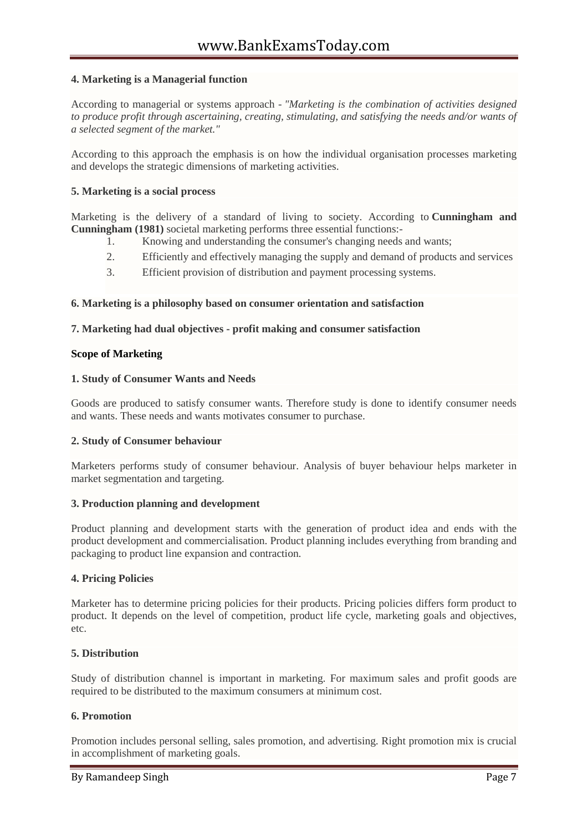# **4. Marketing is a Managerial function**

According to managerial or systems approach - *"Marketing is the combination of activities designed to produce profit through ascertaining, creating, stimulating, and satisfying the needs and/or wants of a selected segment of the market."*

According to this approach the emphasis is on how the individual organisation processes marketing and develops the strategic dimensions of marketing activities.

# **5. Marketing is a social process**

Marketing is the delivery of a standard of living to society. According to **Cunningham and Cunningham (1981)** societal marketing performs three essential functions:-

- 1. Knowing and understanding the consumer's changing needs and wants;
- 2. Efficiently and effectively managing the supply and demand of products and services
- 3. Efficient provision of distribution and payment processing systems.

# **6. Marketing is a philosophy based on consumer orientation and satisfaction**

#### **7. Marketing had dual objectives - profit making and consumer satisfaction**

#### **Scope of Marketing**

#### **1. Study of Consumer Wants and Needs**

Goods are produced to satisfy consumer wants. Therefore study is done to identify consumer needs and wants. These needs and wants motivates consumer to purchase.

# **2. Study of Consumer behaviour**

Marketers performs study of consumer behaviour. Analysis of buyer behaviour helps marketer in market segmentation and targeting.

#### **3. Production planning and development**

Product planning and development starts with the generation of product idea and ends with the product development and commercialisation. Product planning includes everything from branding and packaging to product line expansion and contraction.

# **4. Pricing Policies**

Marketer has to determine pricing policies for their products. Pricing policies differs form product to product. It depends on the level of competition, product life cycle, marketing goals and objectives, etc.

# **5. Distribution**

Study of distribution channel is important in marketing. For maximum sales and profit goods are required to be distributed to the maximum consumers at minimum cost.

# **6. Promotion**

Promotion includes personal selling, sales promotion, and advertising. Right promotion mix is crucial in accomplishment of marketing goals.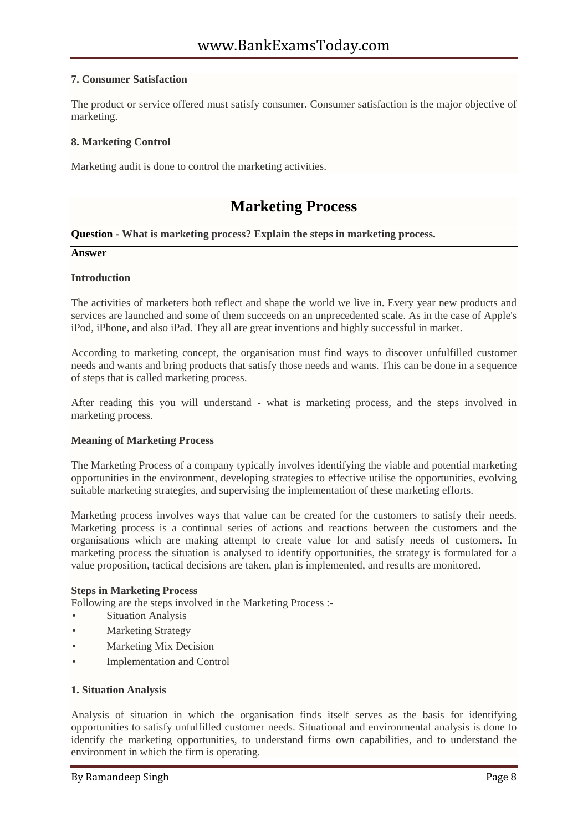# **7. Consumer Satisfaction**

The product or service offered must satisfy consumer. Consumer satisfaction is the major objective of marketing.

# **8. Marketing Control**

Marketing audit is done to control the marketing activities.

# **Marketing Process**

#### **Question - What is marketing process? Explain the steps in marketing process.**

#### **Answer**

#### **Introduction**

The activities of marketers both reflect and shape the world we live in. Every year new products and services are launched and some of them succeeds on an unprecedented scale. As in the case of Apple's iPod, iPhone, and also iPad. They all are great inventions and highly successful in market.

According to marketing concept, the organisation must find ways to discover unfulfilled customer needs and wants and bring products that satisfy those needs and wants. This can be done in a sequence of steps that is called marketing process.

After reading this you will understand - what is marketing process, and the steps involved in marketing process.

#### **Meaning of Marketing Process**

The Marketing Process of a company typically involves identifying the viable and potential marketing opportunities in the environment, developing strategies to effective utilise the opportunities, evolving suitable marketing strategies, and supervising the implementation of these marketing efforts.

Marketing process involves ways that value can be created for the customers to satisfy their needs. Marketing process is a continual series of actions and reactions between the customers and the organisations which are making attempt to create value for and satisfy needs of customers. In marketing process the situation is analysed to identify opportunities, the strategy is formulated for a value proposition, tactical decisions are taken, plan is implemented, and results are monitored.

#### **Steps in Marketing Process**

Following are the steps involved in the Marketing Process :-

- Situation Analysis
- Marketing Strategy
- Marketing Mix Decision
- Implementation and Control

# **1. Situation Analysis**

Analysis of situation in which the organisation finds itself serves as the basis for identifying opportunities to satisfy unfulfilled customer needs. Situational and environmental analysis is done to identify the marketing opportunities, to understand firms own capabilities, and to understand the environment in which the firm is operating.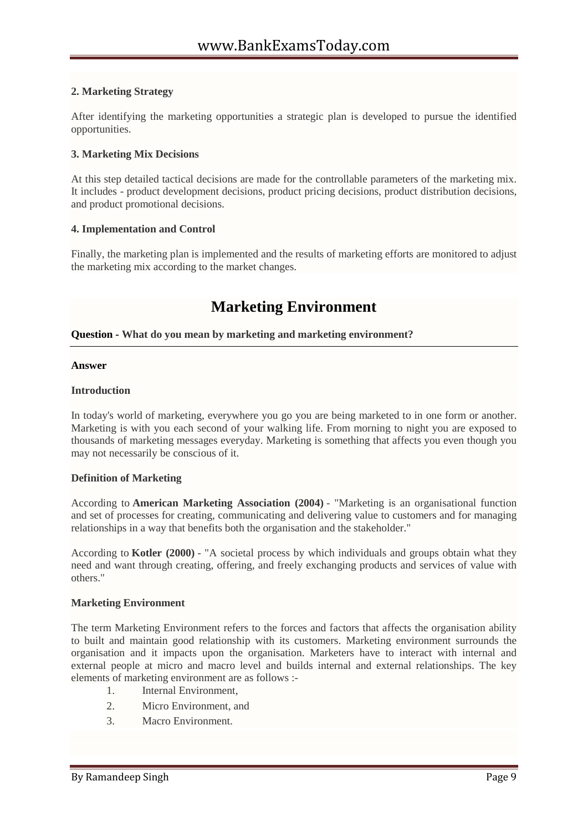# **2. Marketing Strategy**

After identifying the marketing opportunities a strategic plan is developed to pursue the identified opportunities.

# **3. Marketing Mix Decisions**

At this step detailed tactical decisions are made for the controllable parameters of the marketing mix. It includes - product development decisions, product pricing decisions, product distribution decisions, and product promotional decisions.

# **4. Implementation and Control**

Finally, the marketing plan is implemented and the results of marketing efforts are monitored to adjust the marketing mix according to the market changes.

# **Marketing Environment**

# **Question - What do you mean by marketing and marketing environment?**

#### **Answer**

# **Introduction**

In today's world of marketing, everywhere you go you are being marketed to in one form or another. Marketing is with you each second of your walking life. From morning to night you are exposed to thousands of marketing messages everyday. Marketing is something that affects you even though you may not necessarily be conscious of it.

# **Definition of Marketing**

According to **American Marketing Association (2004)** - "Marketing is an organisational function and set of processes for creating, communicating and delivering value to customers and for managing relationships in a way that benefits both the organisation and the stakeholder."

According to **Kotler (2000)** - "A societal process by which individuals and groups obtain what they need and want through creating, offering, and freely exchanging products and services of value with others."

# **Marketing Environment**

The term Marketing Environment refers to the forces and factors that affects the organisation ability to built and maintain good relationship with its customers. Marketing environment surrounds the organisation and it impacts upon the organisation. Marketers have to interact with internal and external people at micro and macro level and builds internal and external relationships. The key elements of marketing environment are as follows :-

- 1. Internal Environment,
- 2. Micro Environment, and
- 3. Macro Environment.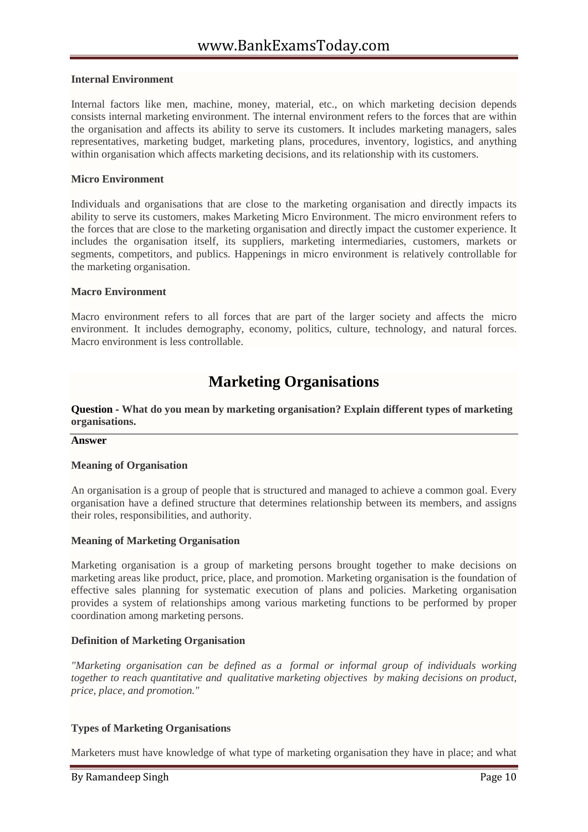#### **Internal Environment**

Internal factors like men, machine, money, material, etc., on which marketing decision depends consists internal marketing environment. The internal environment refers to the forces that are within the organisation and affects its ability to serve its customers. It includes marketing managers, sales representatives, marketing budget, marketing plans, procedures, inventory, logistics, and anything within organisation which affects marketing decisions, and its relationship with its customers.

#### **Micro Environment**

Individuals and organisations that are close to the marketing organisation and directly impacts its ability to serve its customers, makes Marketing Micro Environment. The micro environment refers to the forces that are close to the marketing organisation and directly impact the customer experience. It includes the organisation itself, its suppliers, marketing intermediaries, customers, markets or segments, competitors, and publics. Happenings in micro environment is relatively controllable for the marketing organisation.

#### **Macro Environment**

Macro environment refers to all forces that are part of the larger society and affects the micro environment. It includes demography, economy, politics, culture, technology, and natural forces. Macro environment is less controllable.

# **Marketing Organisations**

**Question - What do you mean by marketing organisation? Explain different types of marketing organisations.**

#### **Answer**

#### **Meaning of Organisation**

An organisation is a group of people that is structured and managed to achieve a common goal. Every organisation have a defined structure that determines relationship between its members, and assigns their roles, responsibilities, and authority.

#### **Meaning of Marketing Organisation**

Marketing organisation is a group of marketing persons brought together to make decisions on marketing areas like product, price, place, and promotion. Marketing organisation is the foundation of effective sales planning for systematic execution of plans and policies. Marketing organisation provides a system of relationships among various marketing functions to be performed by proper coordination among marketing persons.

#### **Definition of Marketing Organisation**

*"Marketing organisation can be defined as a formal or informal group of individuals working together to reach quantitative and qualitative marketing objectives by making decisions on product, price, place, and promotion."*

# **Types of Marketing Organisations**

Marketers must have knowledge of what type of marketing organisation they have in place; and what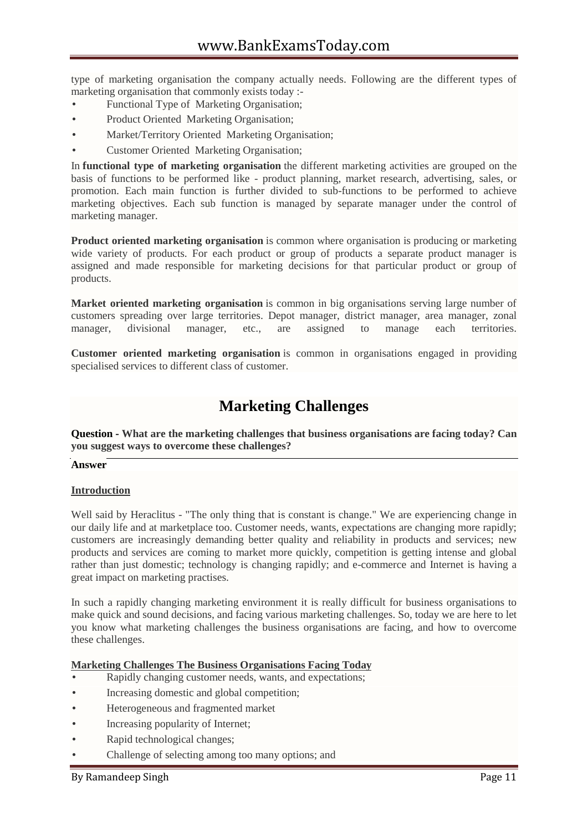type of marketing organisation the company actually needs. Following are the different types of marketing organisation that commonly exists today :-

- Functional Type of Marketing Organisation;
- Product Oriented Marketing Organisation;
- Market/Territory Oriented Marketing Organisation;
- Customer Oriented Marketing Organisation;

In **functional type of marketing organisation** the different marketing activities are grouped on the basis of functions to be performed like - product planning, market research, advertising, sales, or promotion. Each main function is further divided to sub-functions to be performed to achieve marketing objectives. Each sub function is managed by separate manager under the control of marketing manager.

**Product oriented marketing organisation** is common where organisation is producing or marketing wide variety of products. For each product or group of products a separate product manager is assigned and made responsible for marketing decisions for that particular product or group of products.

**Market oriented marketing organisation** is common in big organisations serving large number of customers spreading over large territories. Depot manager, district manager, area manager, zonal manager, divisional manager, etc., are assigned to manage each territories.

**Customer oriented marketing organisation** is common in organisations engaged in providing specialised services to different class of customer.

# **Marketing Challenges**

**Question - What are the marketing challenges that business organisations are facing today? Can you suggest ways to overcome these challenges?**

# **Answer**

# **Introduction**

Well said by Heraclitus - "The only thing that is constant is change." We are experiencing change in our daily life and at marketplace too. Customer needs, wants, expectations are changing more rapidly; customers are increasingly demanding better quality and reliability in products and services; new products and services are coming to market more quickly, competition is getting intense and global rather than just domestic; technology is changing rapidly; and e-commerce and Internet is having a great impact on marketing practises.

In such a rapidly changing marketing environment it is really difficult for business organisations to make quick and sound decisions, and facing various marketing challenges. So, today we are here to let you know what marketing challenges the business organisations are facing, and how to overcome these challenges.

# **Marketing Challenges The Business Organisations Facing Today**

- Rapidly changing customer needs, wants, and expectations;
- Increasing domestic and global competition;
- Heterogeneous and fragmented market
- Increasing popularity of Internet;
- Rapid technological changes;
- Challenge of selecting among too many options; and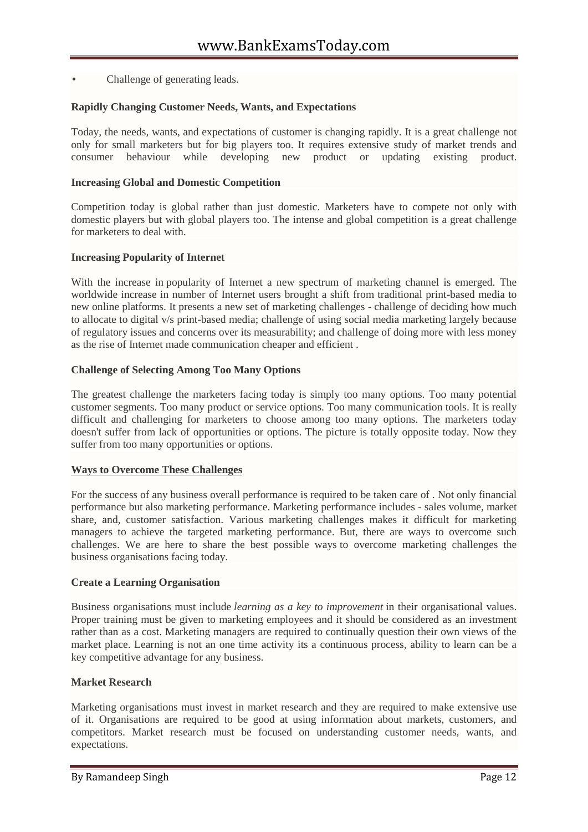Challenge of generating leads.

# **Rapidly Changing Customer Needs, Wants, and Expectations**

Today, the needs, wants, and expectations of customer is changing rapidly. It is a great challenge not only for small marketers but for big players too. It requires extensive study of market trends and consumer behaviour while developing new product or updating existing product.

#### **Increasing Global and Domestic Competition**

Competition today is global rather than just domestic. Marketers have to compete not only with domestic players but with global players too. The intense and global competition is a great challenge for marketers to deal with.

#### **Increasing Popularity of Internet**

With the increase in popularity of Internet a new spectrum of marketing channel is emerged. The worldwide increase in number of Internet users brought a shift from traditional print-based media to new online platforms. It presents a new set of marketing challenges - challenge of deciding how much to allocate to digital v/s print-based media; challenge of using social media marketing largely because of regulatory issues and concerns over its measurability; and challenge of doing more with less money as the rise of Internet made communication cheaper and efficient .

#### **Challenge of Selecting Among Too Many Options**

The greatest challenge the marketers facing today is simply too many options. Too many potential customer segments. Too many product or service options. Too many communication tools. It is really difficult and challenging for marketers to choose among too many options. The marketers today doesn't suffer from lack of opportunities or options. The picture is totally opposite today. Now they suffer from too many opportunities or options.

# **Ways to Overcome These Challenges**

For the success of any business overall performance is required to be taken care of . Not only financial performance but also marketing performance. Marketing performance includes - sales volume, market share, and, customer satisfaction. Various marketing challenges makes it difficult for marketing managers to achieve the targeted marketing performance. But, there are ways to overcome such challenges. We are here to share the best possible ways to overcome marketing challenges the business organisations facing today.

#### **Create a Learning Organisation**

Business organisations must include *learning as a key to improvement* in their organisational values. Proper training must be given to marketing employees and it should be considered as an investment rather than as a cost. Marketing managers are required to continually question their own views of the market place. Learning is not an one time activity its a continuous process, ability to learn can be a key competitive advantage for any business.

#### **Market Research**

Marketing organisations must invest in market research and they are required to make extensive use of it. Organisations are required to be good at using information about markets, customers, and competitors. Market research must be focused on understanding customer needs, wants, and expectations.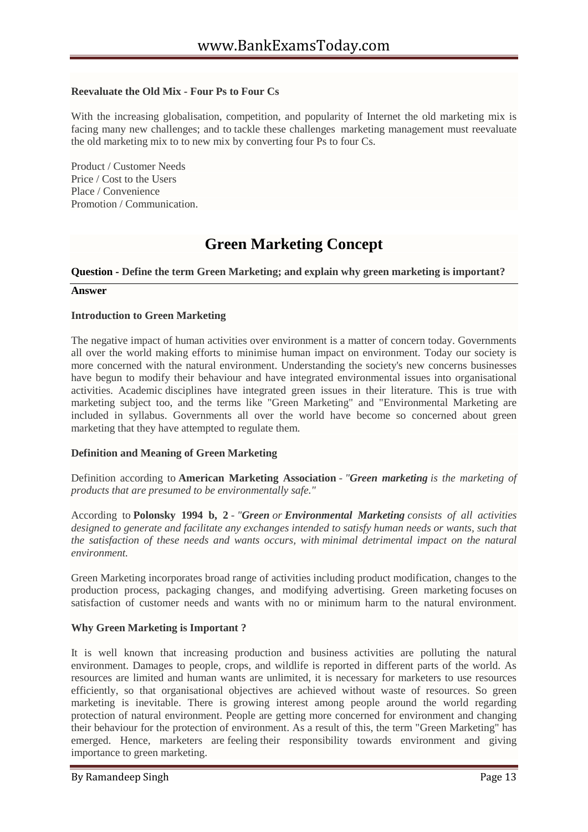# **Reevaluate the Old Mix - Four Ps to Four Cs**

With the increasing globalisation, competition, and popularity of Internet the old marketing mix is facing many new challenges; and to tackle these challenges marketing management must reevaluate the old marketing mix to to new mix by converting four Ps to four Cs.

Product / Customer Needs Price / Cost to the Users Place / Convenience Promotion / Communication.

# **Green Marketing Concept**

#### **Question - Define the term Green Marketing; and explain why green marketing is important?**

#### **Answer**

#### **Introduction to Green Marketing**

The negative impact of human activities over environment is a matter of concern today. Governments all over the world making efforts to minimise human impact on environment. Today our society is more concerned with the natural environment. Understanding the society's new concerns businesses have begun to modify their behaviour and have integrated environmental issues into organisational activities. Academic disciplines have integrated green issues in their literature. This is true with marketing subject too, and the terms like "Green Marketing" and "Environmental Marketing are included in syllabus. Governments all over the world have become so concerned about green marketing that they have attempted to regulate them.

# **Definition and Meaning of Green Marketing**

Definition according to **American Marketing Association** - *"Green marketing is the marketing of products that are presumed to be environmentally safe."*

According to **Polonsky 1994 b, 2** - *"Green or Environmental Marketing consists of all activities designed to generate and facilitate any exchanges intended to satisfy human needs or wants, such that the satisfaction of these needs and wants occurs, with minimal detrimental impact on the natural environment.*

Green Marketing incorporates broad range of activities including product modification, changes to the production process, packaging changes, and modifying advertising. Green marketing focuses on satisfaction of customer needs and wants with no or minimum harm to the natural environment.

# **Why Green Marketing is Important ?**

It is well known that increasing production and business activities are polluting the natural environment. Damages to people, crops, and wildlife is reported in different parts of the world. As resources are limited and human wants are unlimited, it is necessary for marketers to use resources efficiently, so that organisational objectives are achieved without waste of resources. So green marketing is inevitable. There is growing interest among people around the world regarding protection of natural environment. People are getting more concerned for environment and changing their behaviour for the protection of environment. As a result of this, the term "Green Marketing" has emerged. Hence, marketers are feeling their responsibility towards environment and giving importance to green marketing.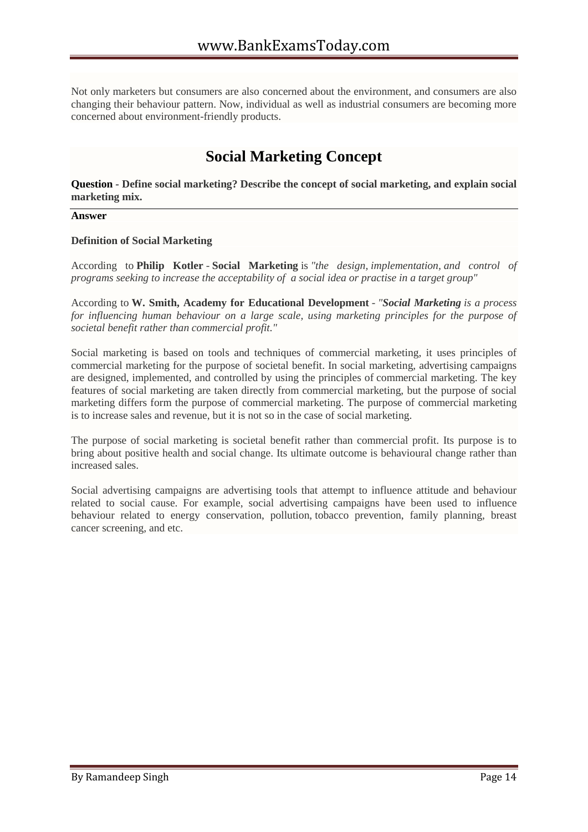Not only marketers but consumers are also concerned about the environment, and consumers are also changing their behaviour pattern. Now, individual as well as industrial consumers are becoming more concerned about environment-friendly products.

# **Social Marketing Concept**

**Question - Define social marketing? Describe the concept of social marketing, and explain social marketing mix.**

#### **Answer**

#### **Definition of Social Marketing**

According to **Philip Kotler** - **Social Marketing** is *"the design, implementation, and control of programs seeking to increase the acceptability of a social idea or practise in a target group"*

According to **W. Smith, Academy for Educational Development** - *"Social Marketing is a process for influencing human behaviour on a large scale, using marketing principles for the purpose of societal benefit rather than commercial profit."*

Social marketing is based on tools and techniques of commercial marketing, it uses principles of commercial marketing for the purpose of societal benefit. In social marketing, advertising campaigns are designed, implemented, and controlled by using the principles of commercial marketing. The key features of social marketing are taken directly from commercial marketing, but the purpose of social marketing differs form the purpose of commercial marketing. The purpose of commercial marketing is to increase sales and revenue, but it is not so in the case of social marketing.

The purpose of social marketing is societal benefit rather than commercial profit. Its purpose is to bring about positive health and social change. Its ultimate outcome is behavioural change rather than increased sales.

Social advertising campaigns are advertising tools that attempt to influence attitude and behaviour related to social cause. For example, social advertising campaigns have been used to influence behaviour related to energy conservation, pollution, tobacco prevention, family planning, breast cancer screening, and etc.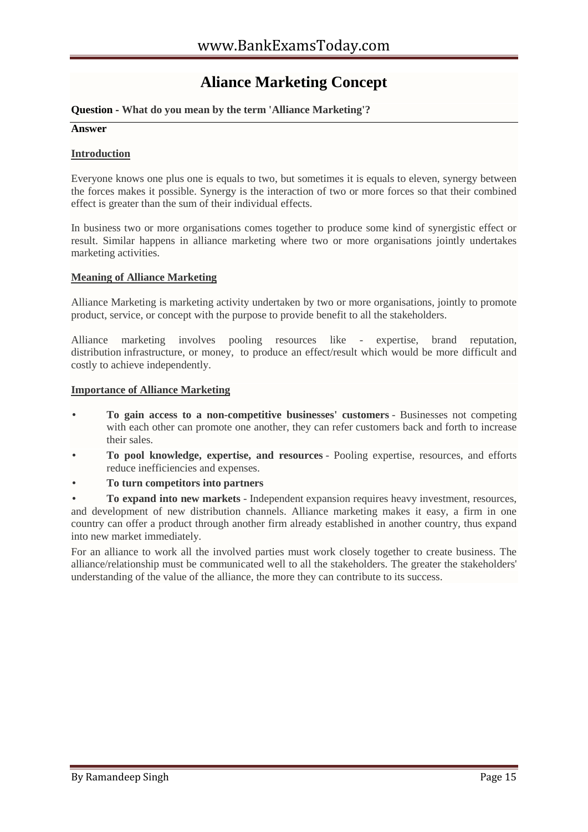# **Aliance Marketing Concept**

# **Question - What do you mean by the term 'Alliance Marketing'?**

#### **Answer**

# **Introduction**

Everyone knows one plus one is equals to two, but sometimes it is equals to eleven, synergy between the forces makes it possible. Synergy is the interaction of two or more forces so that their combined effect is greater than the sum of their individual effects.

In business two or more organisations comes together to produce some kind of synergistic effect or result. Similar happens in alliance marketing where two or more organisations jointly undertakes marketing activities.

# **Meaning of Alliance Marketing**

Alliance Marketing is marketing activity undertaken by two or more organisations, jointly to promote product, service, or concept with the purpose to provide benefit to all the stakeholders.

Alliance marketing involves pooling resources like - expertise, brand reputation, distribution infrastructure, or money, to produce an effect/result which would be more difficult and costly to achieve independently.

#### **Importance of Alliance Marketing**

- **To gain access to a non-competitive businesses' customers** Businesses not competing with each other can promote one another, they can refer customers back and forth to increase their sales.
- **To pool knowledge, expertise, and resources** Pooling expertise, resources, and efforts reduce inefficiencies and expenses.
- **To turn competitors into partners**

 **To expand into new markets** - Independent expansion requires heavy investment, resources, and development of new distribution channels. Alliance marketing makes it easy, a firm in one country can offer a product through another firm already established in another country, thus expand into new market immediately.

For an alliance to work all the involved parties must work closely together to create business. The alliance/relationship must be communicated well to all the stakeholders. The greater the stakeholders' understanding of the value of the alliance, the more they can contribute to its success.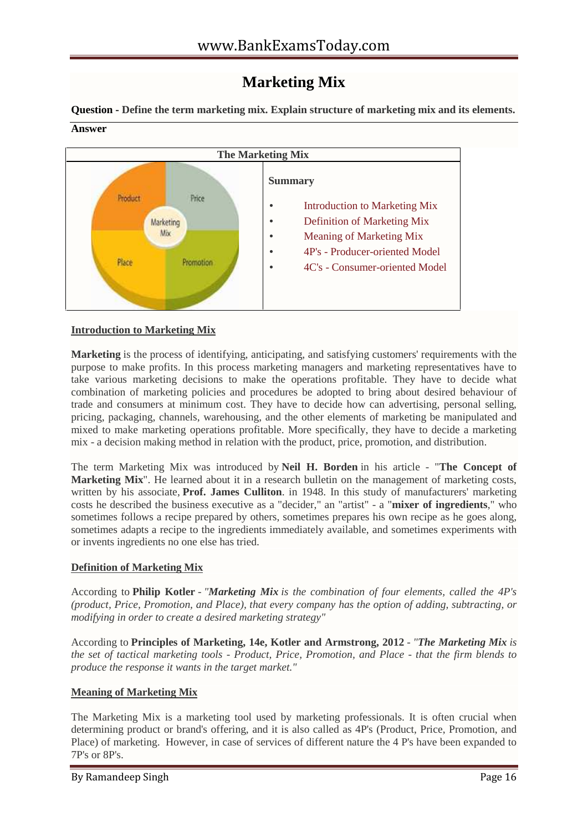# **Marketing Mix**

**Question - Define the term marketing mix. Explain structure of marketing mix and its elements. Answer**



# **Introduction to Marketing Mix**

**Marketing** is the process of identifying, anticipating, and satisfying customers' requirements with the purpose to make profits. In this process marketing managers and marketing representatives have to take various marketing decisions to make the operations profitable. They have to decide what combination of marketing policies and procedures be adopted to bring about desired behaviour of trade and consumers at minimum cost. They have to decide how can advertising, personal selling, pricing, packaging, channels, warehousing, and the other elements of marketing be manipulated and mixed to make marketing operations profitable. More specifically, they have to decide a marketing mix - a decision making method in relation with the product, price, promotion, and distribution.

The term Marketing Mix was introduced by **Neil H. Borden** in his article - "**The Concept of Marketing Mix**<sup>"</sup>. He learned about it in a research bulletin on the management of marketing costs, written by his associate, **Prof. James Culliton**. in 1948. In this study of manufacturers' marketing costs he described the business executive as a "decider," an "artist" - a "**mixer of ingredients**," who sometimes follows a recipe prepared by others, sometimes prepares his own recipe as he goes along, sometimes adapts a recipe to the ingredients immediately available, and sometimes experiments with or invents ingredients no one else has tried.

# **Definition of Marketing Mix**

According to **Philip Kotler** - *"Marketing Mix is the combination of four elements, called the 4P's (product, Price, Promotion, and Place), that every company has the option of adding, subtracting, or modifying in order to create a desired marketing strategy"*

According to **Principles of Marketing, 14e, Kotler and Armstrong, 2012** - *"The Marketing Mix is the set of tactical marketing tools - Product, Price, Promotion, and Place - that the firm blends to produce the response it wants in the target market."*

# **Meaning of Marketing Mix**

The Marketing Mix is a marketing tool used by marketing professionals. It is often crucial when determining product or brand's offering, and it is also called as 4P's (Product, Price, Promotion, and Place) of marketing. However, in case of services of different nature the 4 P's have been expanded to 7P's or 8P's.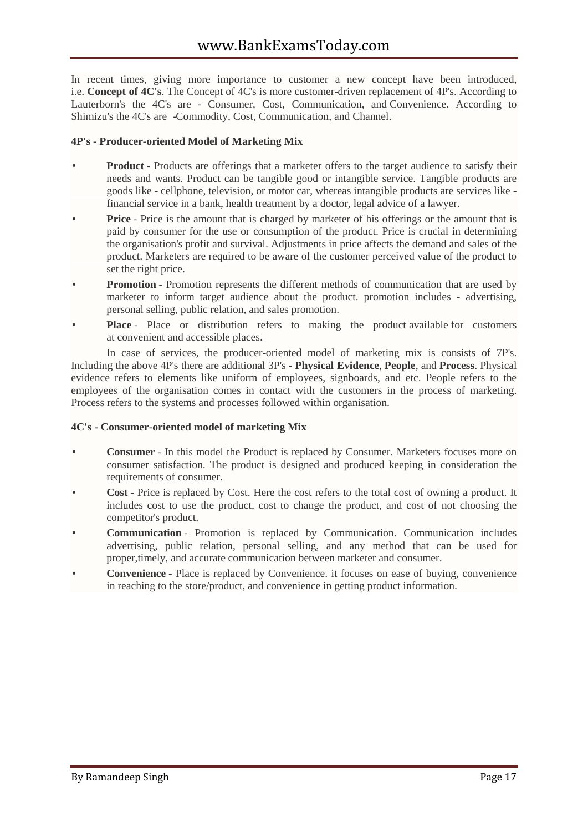In recent times, giving more importance to customer a new concept have been introduced, i.e. **Concept of 4C's**. The Concept of 4C's is more customer-driven replacement of 4P's. According to Lauterborn's the 4C's are - Consumer, Cost, Communication, and Convenience. According to Shimizu's the 4C's are -Commodity, Cost, Communication, and Channel.

# **4P's - Producer-oriented Model of Marketing Mix**

- **Product** Products are offerings that a marketer offers to the target audience to satisfy their needs and wants. Product can be tangible good or intangible service. Tangible products are goods like - cellphone, television, or motor car, whereas intangible products are services like financial service in a bank, health treatment by a doctor, legal advice of a lawyer.
- **Price** Price is the amount that is charged by marketer of his offerings or the amount that is paid by consumer for the use or consumption of the product. Price is crucial in determining the organisation's profit and survival. Adjustments in price affects the demand and sales of the product. Marketers are required to be aware of the customer perceived value of the product to set the right price.
- **Promotion** Promotion represents the different methods of communication that are used by marketer to inform target audience about the product. promotion includes - advertising, personal selling, public relation, and sales promotion.
- **Place** Place or distribution refers to making the product available for customers at convenient and accessible places.

In case of services, the producer-oriented model of marketing mix is consists of 7P's. Including the above 4P's there are additional 3P's - **Physical Evidence**, **People**, and **Process**. Physical evidence refers to elements like uniform of employees, signboards, and etc. People refers to the employees of the organisation comes in contact with the customers in the process of marketing. Process refers to the systems and processes followed within organisation.

# **4C's - Consumer-oriented model of marketing Mix**

- **Consumer** In this model the Product is replaced by Consumer. Marketers focuses more on consumer satisfaction. The product is designed and produced keeping in consideration the requirements of consumer.
- **Cost** Price is replaced by Cost. Here the cost refers to the total cost of owning a product. It includes cost to use the product, cost to change the product, and cost of not choosing the competitor's product.
- **Communication** Promotion is replaced by Communication. Communication includes advertising, public relation, personal selling, and any method that can be used for proper,timely, and accurate communication between marketer and consumer.
- **Convenience** Place is replaced by Convenience. it focuses on ease of buying, convenience in reaching to the store/product, and convenience in getting product information.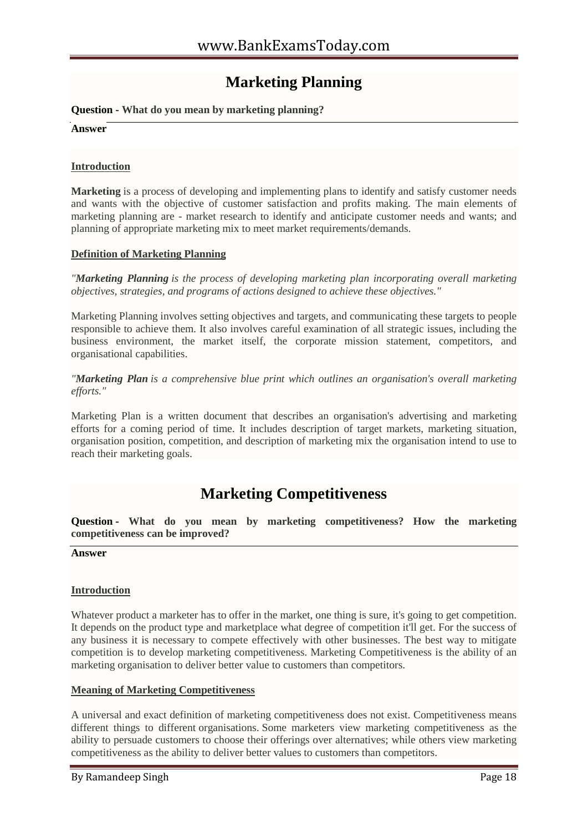# **Marketing Planning**

# **Question - What do you mean by marketing planning?**

**Answer**

# **Introduction**

**Marketing** is a process of developing and implementing plans to identify and satisfy customer needs and wants with the objective of customer satisfaction and profits making. The main elements of marketing planning are - market research to identify and anticipate customer needs and wants; and planning of appropriate marketing mix to meet market requirements/demands.

#### **Definition of Marketing Planning**

*"Marketing Planning is the process of developing marketing plan incorporating overall marketing objectives, strategies, and programs of actions designed to achieve these objectives."*

Marketing Planning involves setting objectives and targets, and communicating these targets to people responsible to achieve them. It also involves careful examination of all strategic issues, including the business environment, the market itself, the corporate mission statement, competitors, and organisational capabilities.

*"Marketing Plan is a comprehensive blue print which outlines an organisation's overall marketing efforts."*

Marketing Plan is a written document that describes an organisation's advertising and marketing efforts for a coming period of time. It includes description of target markets, marketing situation, organisation position, competition, and description of marketing mix the organisation intend to use to reach their marketing goals.

# **Marketing Competitiveness**

**Question - What do you mean by marketing competitiveness? How the marketing competitiveness can be improved?**

**Answer**

# **Introduction**

Whatever product a marketer has to offer in the market, one thing is sure, it's going to get competition. It depends on the product type and marketplace what degree of competition it'll get. For the success of any business it is necessary to compete effectively with other businesses. The best way to mitigate competition is to develop marketing competitiveness. Marketing Competitiveness is the ability of an marketing organisation to deliver better value to customers than competitors.

# **Meaning of Marketing Competitiveness**

A universal and exact definition of marketing competitiveness does not exist. Competitiveness means different things to different organisations. Some marketers view marketing competitiveness as the ability to persuade customers to choose their offerings over alternatives; while others view marketing competitiveness as the ability to deliver better values to customers than competitors.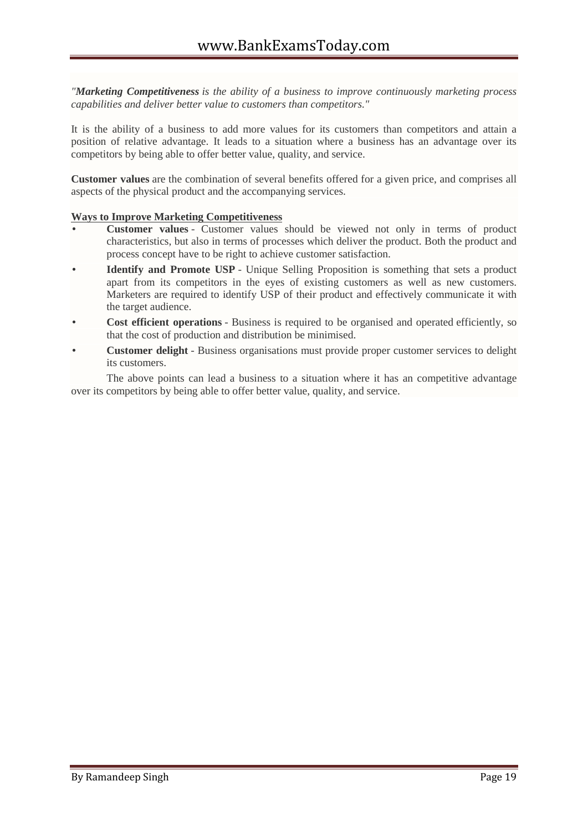*"Marketing Competitiveness is the ability of a business to improve continuously marketing process capabilities and deliver better value to customers than competitors."*

It is the ability of a business to add more values for its customers than competitors and attain a position of relative advantage. It leads to a situation where a business has an advantage over its competitors by being able to offer better value, quality, and service.

**Customer values** are the combination of several benefits offered for a given price, and comprises all aspects of the physical product and the accompanying services.

# **Ways to Improve Marketing Competitiveness**

- **Customer values** Customer values should be viewed not only in terms of product characteristics, but also in terms of processes which deliver the product. Both the product and process concept have to be right to achieve customer satisfaction.
- **Identify and Promote USP** Unique Selling Proposition is something that sets a product apart from its competitors in the eyes of existing customers as well as new customers. Marketers are required to identify USP of their product and effectively communicate it with the target audience.
- **Cost efficient operations** Business is required to be organised and operated efficiently, so that the cost of production and distribution be minimised.
- **Customer delight** Business organisations must provide proper customer services to delight its customers.

The above points can lead a business to a situation where it has an competitive advantage over its competitors by being able to offer better value, quality, and service.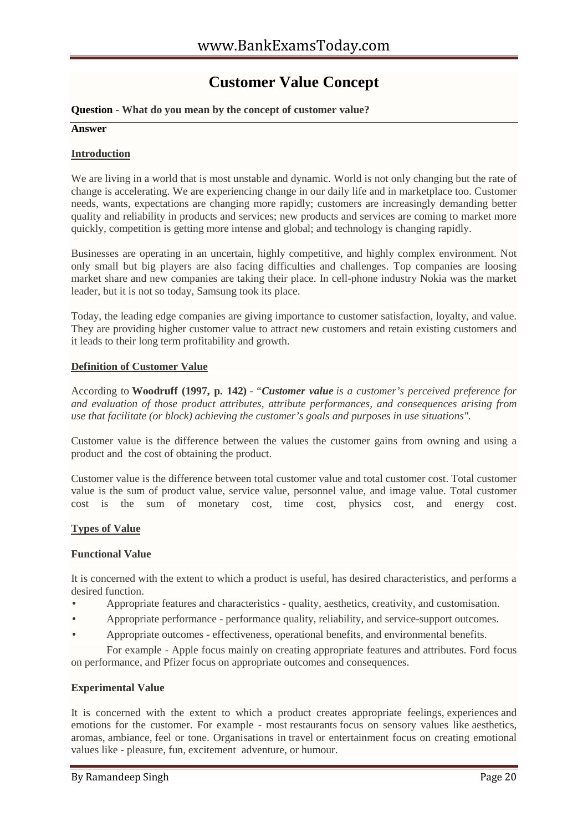# **Customer Value Concept**

# **Question - What do you mean by the concept of customer value?**

#### **Answer**

# **Introduction**

We are living in a world that is most unstable and dynamic. World is not only changing but the rate of change is accelerating. We are experiencing change in our daily life and in marketplace too. Customer needs, wants, expectations are changing more rapidly; customers are increasingly demanding better quality and reliability in products and services; new products and services are coming to market more quickly, competition is getting more intense and global; and technology is changing rapidly.

Businesses are operating in an uncertain, highly competitive, and highly complex environment. Not only small but big players are also facing difficulties and challenges. Top companies are loosing market share and new companies are taking their place. In cell-phone industry Nokia was the market leader, but it is not so today, Samsung took its place.

Today, the leading edge companies are giving importance to customer satisfaction, loyalty, and value. They are providing higher customer value to attract new customers and retain existing customers and it leads to their long term profitability and growth.

# **Definition of Customer Value**

According to **Woodruff (1997, p. 142)** - *"Customer value is a customer's perceived preference for and evaluation of those product attributes, attribute performances, and consequences arising from use that facilitate (or block) achieving the customer's goals and purposes in use situations".*

Customer value is the difference between the values the customer gains from owning and using a product and the cost of obtaining the product.

Customer value is the difference between total customer value and total customer cost. Total customer value is the sum of product value, service value, personnel value, and image value. Total customer cost is the sum of monetary cost, time cost, physics cost, and energy cost.

# **Types of Value**

#### **Functional Value**

It is concerned with the extent to which a product is useful, has desired characteristics, and performs a desired function.

- Appropriate features and characteristics quality, aesthetics, creativity, and customisation.
- Appropriate performance performance quality, reliability, and service-support outcomes.
- Appropriate outcomes effectiveness, operational benefits, and environmental benefits.

For example - Apple focus mainly on creating appropriate features and attributes. Ford focus on performance, and Pfizer focus on appropriate outcomes and consequences.

# **Experimental Value**

It is concerned with the extent to which a product creates appropriate feelings, experiences and emotions for the customer. For example - most restaurants focus on sensory values like aesthetics, aromas, ambiance, feel or tone. Organisations in travel or entertainment focus on creating emotional values like - pleasure, fun, excitement adventure, or humour.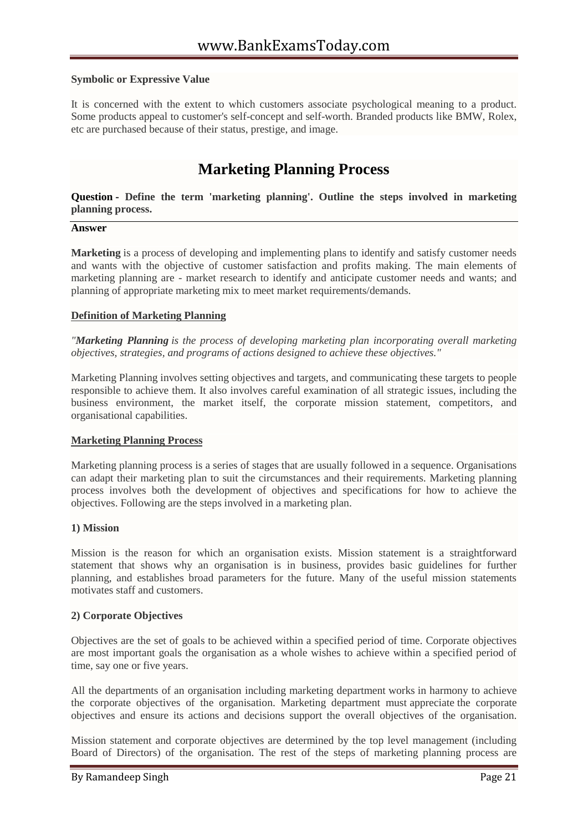### **Symbolic or Expressive Value**

It is concerned with the extent to which customers associate psychological meaning to a product. Some products appeal to customer's self-concept and self-worth. Branded products like BMW, Rolex, etc are purchased because of their status, prestige, and image.

# **Marketing Planning Process**

**Question - Define the term 'marketing planning'. Outline the steps involved in marketing planning process.**

#### **Answer**

**Marketing** is a process of developing and implementing plans to identify and satisfy customer needs and wants with the objective of customer satisfaction and profits making. The main elements of marketing planning are - market research to identify and anticipate customer needs and wants; and planning of appropriate marketing mix to meet market requirements/demands.

#### **Definition of Marketing Planning**

*"Marketing Planning is the process of developing marketing plan incorporating overall marketing objectives, strategies, and programs of actions designed to achieve these objectives."*

Marketing Planning involves setting objectives and targets, and communicating these targets to people responsible to achieve them. It also involves careful examination of all strategic issues, including the business environment, the market itself, the corporate mission statement, competitors, and organisational capabilities.

#### **Marketing Planning Process**

Marketing planning process is a series of stages that are usually followed in a sequence. Organisations can adapt their marketing plan to suit the circumstances and their requirements. Marketing planning process involves both the development of objectives and specifications for how to achieve the objectives. Following are the steps involved in a marketing plan.

#### **1) Mission**

Mission is the reason for which an organisation exists. Mission statement is a straightforward statement that shows why an organisation is in business, provides basic guidelines for further planning, and establishes broad parameters for the future. Many of the useful mission statements motivates staff and customers.

#### **2) Corporate Objectives**

Objectives are the set of goals to be achieved within a specified period of time. Corporate objectives are most important goals the organisation as a whole wishes to achieve within a specified period of time, say one or five years.

All the departments of an organisation including marketing department works in harmony to achieve the corporate objectives of the organisation. Marketing department must appreciate the corporate objectives and ensure its actions and decisions support the overall objectives of the organisation.

Mission statement and corporate objectives are determined by the top level management (including Board of Directors) of the organisation. The rest of the steps of marketing planning process are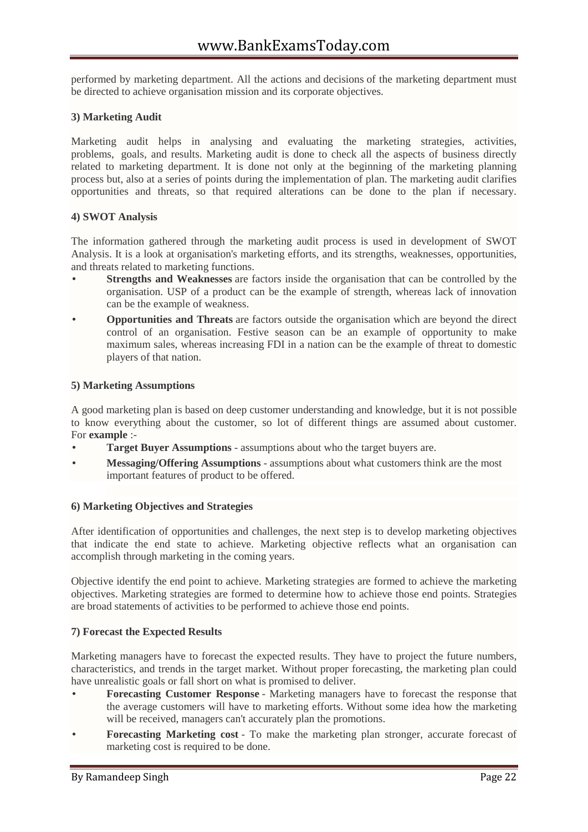performed by marketing department. All the actions and decisions of the marketing department must be directed to achieve organisation mission and its corporate objectives.

# **3) Marketing Audit**

Marketing audit helps in analysing and evaluating the marketing strategies, activities, problems, goals, and results. Marketing audit is done to check all the aspects of business directly related to marketing department. It is done not only at the beginning of the marketing planning process but, also at a series of points during the implementation of plan. The marketing audit clarifies opportunities and threats, so that required alterations can be done to the plan if necessary.

# **4) SWOT Analysis**

The information gathered through the marketing audit process is used in development of SWOT Analysis. It is a look at organisation's marketing efforts, and its strengths, weaknesses, opportunities, and threats related to marketing functions.

- **Strengths and Weaknesses** are factors inside the organisation that can be controlled by the organisation. USP of a product can be the example of strength, whereas lack of innovation can be the example of weakness.
- **Opportunities and Threats** are factors outside the organisation which are beyond the direct control of an organisation. Festive season can be an example of opportunity to make maximum sales, whereas increasing FDI in a nation can be the example of threat to domestic players of that nation.

# **5) Marketing Assumptions**

A good marketing plan is based on deep customer understanding and knowledge, but it is not possible to know everything about the customer, so lot of different things are assumed about customer. For **example** :-

- **Target Buyer Assumptions** assumptions about who the target buyers are.
- **Messaging/Offering Assumptions** assumptions about what customers think are the most important features of product to be offered.

# **6) Marketing Objectives and Strategies**

After identification of opportunities and challenges, the next step is to develop marketing objectives that indicate the end state to achieve. Marketing objective reflects what an organisation can accomplish through marketing in the coming years.

Objective identify the end point to achieve. Marketing strategies are formed to achieve the marketing objectives. Marketing strategies are formed to determine how to achieve those end points. Strategies are broad statements of activities to be performed to achieve those end points.

# **7) Forecast the Expected Results**

Marketing managers have to forecast the expected results. They have to project the future numbers, characteristics, and trends in the target market. Without proper forecasting, the marketing plan could have unrealistic goals or fall short on what is promised to deliver.

- **Forecasting Customer Response** Marketing managers have to forecast the response that the average customers will have to marketing efforts. Without some idea how the marketing will be received, managers can't accurately plan the promotions.
- **Forecasting Marketing cost** To make the marketing plan stronger, accurate forecast of marketing cost is required to be done.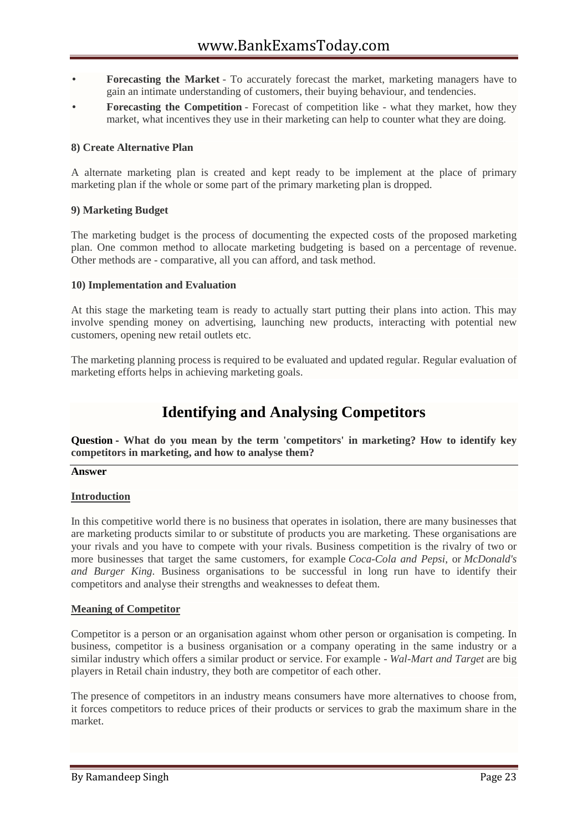- **Forecasting the Market** To accurately forecast the market, marketing managers have to gain an intimate understanding of customers, their buying behaviour, and tendencies.
- **Forecasting the Competition** Forecast of competition like what they market, how they market, what incentives they use in their marketing can help to counter what they are doing.

# **8) Create Alternative Plan**

A alternate marketing plan is created and kept ready to be implement at the place of primary marketing plan if the whole or some part of the primary marketing plan is dropped.

# **9) Marketing Budget**

The marketing budget is the process of documenting the expected costs of the proposed marketing plan. One common method to allocate marketing budgeting is based on a percentage of revenue. Other methods are - comparative, all you can afford, and task method.

#### **10) Implementation and Evaluation**

At this stage the marketing team is ready to actually start putting their plans into action. This may involve spending money on advertising, launching new products, interacting with potential new customers, opening new retail outlets etc.

The marketing planning process is required to be evaluated and updated regular. Regular evaluation of marketing efforts helps in achieving marketing goals.

# **Identifying and Analysing Competitors**

**Question - What do you mean by the term 'competitors' in marketing? How to identify key competitors in marketing, and how to analyse them?**

#### **Answer**

# **Introduction**

In this competitive world there is no business that operates in isolation, there are many businesses that are marketing products similar to or substitute of products you are marketing. These organisations are your rivals and you have to compete with your rivals. Business competition is the rivalry of two or more businesses that target the same customers, for example *Coca-Cola and Pepsi*, or *McDonald's and Burger King*. Business organisations to be successful in long run have to identify their competitors and analyse their strengths and weaknesses to defeat them.

#### **Meaning of Competitor**

Competitor is a person or an organisation against whom other person or organisation is competing. In business, competitor is a business organisation or a company operating in the same industry or a similar industry which offers a similar product or service. For example - *Wal-Mart and Target* are big players in Retail chain industry, they both are competitor of each other.

The presence of competitors in an industry means consumers have more alternatives to choose from, it forces competitors to reduce prices of their products or services to grab the maximum share in the market.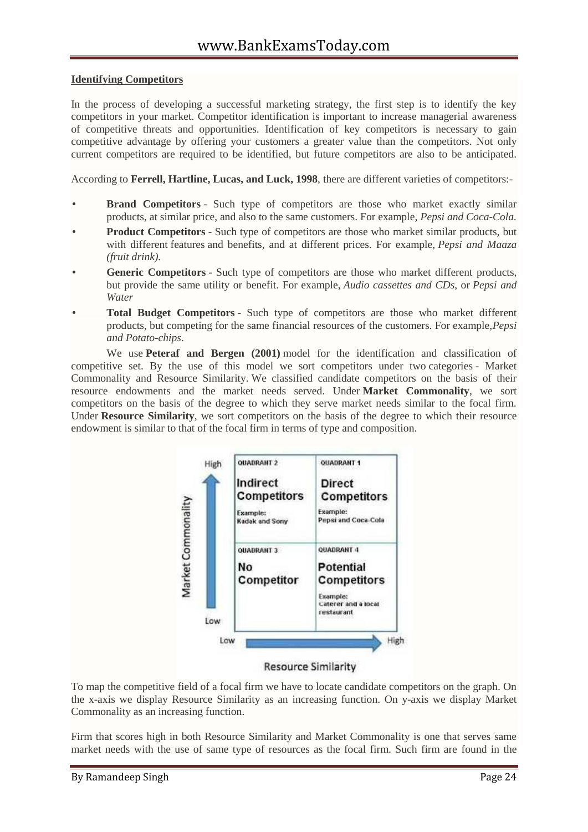# **Identifying Competitors**

In the process of developing a successful marketing strategy, the first step is to identify the key competitors in your market. Competitor identification is important to increase managerial awareness of competitive threats and opportunities. Identification of key competitors is necessary to gain competitive advantage by offering your customers a greater value than the competitors. Not only current competitors are required to be identified, but future competitors are also to be anticipated.

According to **Ferrell, Hartline, Lucas, and Luck, 1998**, there are different varieties of competitors:-

- **Brand Competitors** Such type of competitors are those who market exactly similar products, at similar price, and also to the same customers. For example, *Pepsi and Coca-Cola.*
- **Product Competitors** Such type of competitors are those who market similar products, but with different features and benefits, and at different prices. For example, *Pepsi and Maaza (fruit drink).*
- **Generic Competitors** Such type of competitors are those who market different products, but provide the same utility or benefit. For example, *Audio cassettes and CDs*, or *Pepsi and Water*
- **Total Budget Competitors** Such type of competitors are those who market different products, but competing for the same financial resources of the customers. For example,*Pepsi and Potato-chips*.

We use **Peteraf and Bergen (2001)** model for the identification and classification of competitive set. By the use of this model we sort competitors under two categories - Market Commonality and Resource Similarity. We classified candidate competitors on the basis of their resource endowments and the market needs served. Under **Market Commonality**, we sort competitors on the basis of the degree to which they serve market needs similar to the focal firm. Under **Resource Similarity**, we sort competitors on the basis of the degree to which their resource endowment is similar to that of the focal firm in terms of type and composition.



#### **Resource Similarity**

To map the competitive field of a focal firm we have to locate candidate competitors on the graph. On the x-axis we display Resource Similarity as an increasing function. On y-axis we display Market Commonality as an increasing function.

Firm that scores high in both Resource Similarity and Market Commonality is one that serves same market needs with the use of same type of resources as the focal firm. Such firm are found in the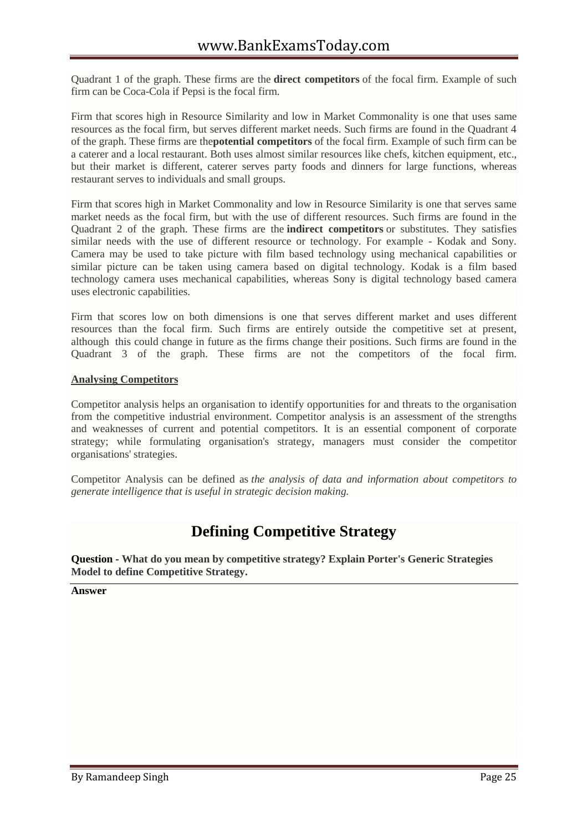Quadrant 1 of the graph. These firms are the **direct competitors** of the focal firm. Example of such firm can be Coca-Cola if Pepsi is the focal firm.

Firm that scores high in Resource Similarity and low in Market Commonality is one that uses same resources as the focal firm, but serves different market needs. Such firms are found in the Quadrant 4 of the graph. These firms are the**potential competitors** of the focal firm. Example of such firm can be a caterer and a local restaurant. Both uses almost similar resources like chefs, kitchen equipment, etc., but their market is different, caterer serves party foods and dinners for large functions, whereas restaurant serves to individuals and small groups.

Firm that scores high in Market Commonality and low in Resource Similarity is one that serves same market needs as the focal firm, but with the use of different resources. Such firms are found in the Quadrant 2 of the graph. These firms are the **indirect competitors** or substitutes. They satisfies similar needs with the use of different resource or technology. For example - Kodak and Sony. Camera may be used to take picture with film based technology using mechanical capabilities or similar picture can be taken using camera based on digital technology. Kodak is a film based technology camera uses mechanical capabilities, whereas Sony is digital technology based camera uses electronic capabilities.

Firm that scores low on both dimensions is one that serves different market and uses different resources than the focal firm. Such firms are entirely outside the competitive set at present, although this could change in future as the firms change their positions. Such firms are found in the Quadrant 3 of the graph. These firms are not the competitors of the focal firm.

# **Analysing Competitors**

Competitor analysis helps an organisation to identify opportunities for and threats to the organisation from the competitive industrial environment. Competitor analysis is an assessment of the strengths and weaknesses of current and potential competitors. It is an essential component of corporate strategy; while formulating organisation's strategy, managers must consider the competitor organisations' strategies.

Competitor Analysis can be defined as *the analysis of data and information about competitors to generate intelligence that is useful in strategic decision making.*

# **Defining Competitive Strategy**

**Question - What do you mean by competitive strategy? Explain Porter's Generic Strategies Model to define Competitive Strategy.**

**Answer**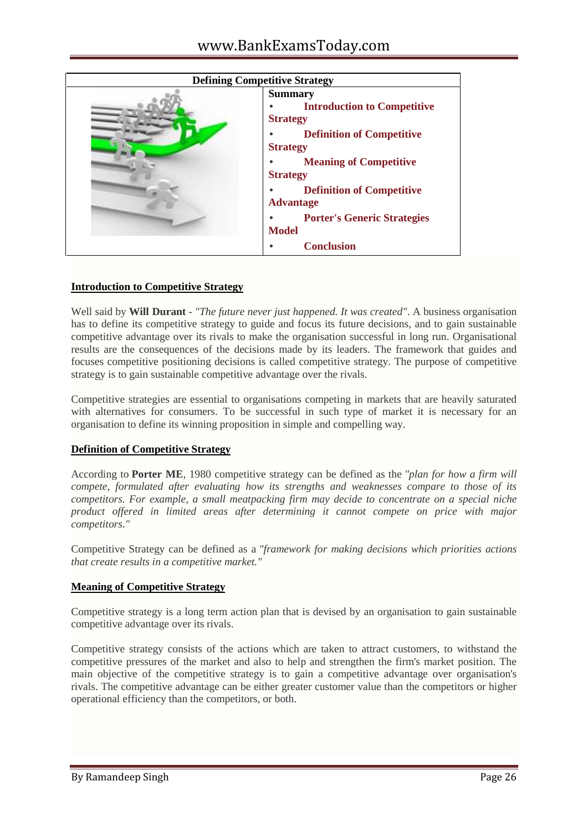| <b>Defining Competitive Strategy</b> |                                                                                                         |
|--------------------------------------|---------------------------------------------------------------------------------------------------------|
|                                      | <b>Summary</b><br><b>Introduction to Competitive</b><br><b>Strategy</b>                                 |
|                                      | <b>Definition of Competitive</b><br><b>Strategy</b><br><b>Meaning of Competitive</b><br><b>Strategy</b> |
|                                      | <b>Definition of Competitive</b><br><b>Advantage</b>                                                    |
|                                      | <b>Porter's Generic Strategies</b><br><b>Model</b>                                                      |
|                                      | <b>Conclusion</b>                                                                                       |

# **Introduction to Competitive Strategy**

Well said by **Will Durant** - *"The future never just happened. It was created"*. A business organisation has to define its competitive strategy to guide and focus its future decisions, and to gain sustainable competitive advantage over its rivals to make the organisation successful in long run. Organisational results are the consequences of the decisions made by its leaders. The framework that guides and focuses competitive positioning decisions is called competitive strategy. The purpose of competitive strategy is to gain sustainable competitive advantage over the rivals.

Competitive strategies are essential to organisations competing in markets that are heavily saturated with alternatives for consumers. To be successful in such type of market it is necessary for an organisation to define its winning proposition in simple and compelling way.

# **Definition of Competitive Strategy**

According to **Porter ME**, 1980 competitive strategy can be defined as the *"plan for how a firm will compete, formulated after evaluating how its strengths and weaknesses compare to those of its competitors. For example, a small meatpacking firm may decide to concentrate on a special niche product offered in limited areas after determining it cannot compete on price with major competitors."*

Competitive Strategy can be defined as a *"framework for making decisions which priorities actions that create results in a competitive market."*

# **Meaning of Competitive Strategy**

Competitive strategy is a long term action plan that is devised by an organisation to gain sustainable competitive advantage over its rivals.

Competitive strategy consists of the actions which are taken to attract customers, to withstand the competitive pressures of the market and also to help and strengthen the firm's market position. The main objective of the competitive strategy is to gain a competitive advantage over organisation's rivals. The competitive advantage can be either greater customer value than the competitors or higher operational efficiency than the competitors, or both.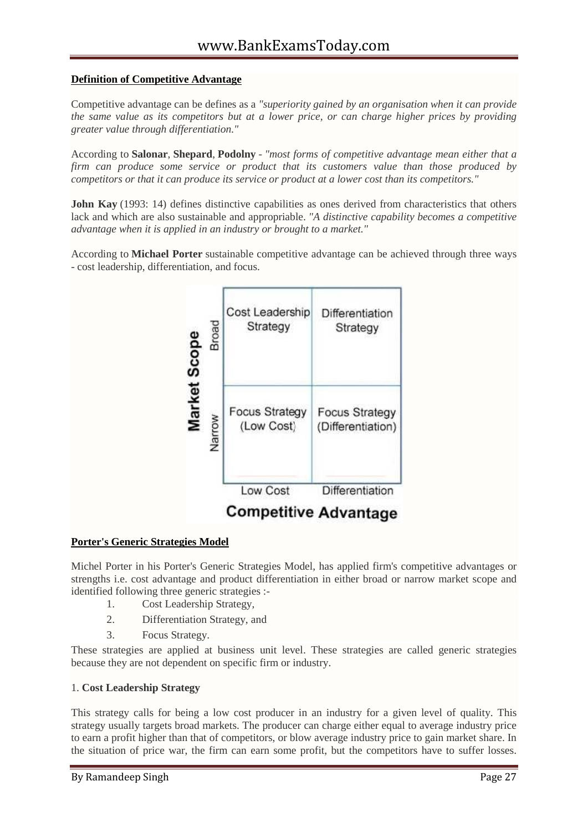# **Definition of Competitive Advantage**

Competitive advantage can be defines as a *"superiority gained by an organisation when it can provide the same value as its competitors but at a lower price, or can charge higher prices by providing greater value through differentiation."*

According to **Salonar**, **Shepard**, **Podolny** - *"most forms of competitive advantage mean either that a firm can produce some service or product that its customers value than those produced by competitors or that it can produce its service or product at a lower cost than its competitors."*

**John Kay** (1993: 14) defines distinctive capabilities as ones derived from characteristics that others lack and which are also sustainable and appropriable. *"A distinctive capability becomes a competitive advantage when it is applied in an industry or brought to a market."*

According to **Michael Porter** sustainable competitive advantage can be achieved through three ways - cost leadership, differentiation, and focus.



# **Porter's Generic Strategies Model**

Michel Porter in his Porter's Generic Strategies Model, has applied firm's competitive advantages or strengths i.e. cost advantage and product differentiation in either broad or narrow market scope and identified following three generic strategies :-

- 1. Cost Leadership Strategy,
- 2. Differentiation Strategy, and
- 3. Focus Strategy.

These strategies are applied at business unit level. These strategies are called generic strategies because they are not dependent on specific firm or industry.

# 1. **Cost Leadership Strategy**

This strategy calls for being a low cost producer in an industry for a given level of quality. This strategy usually targets broad markets. The producer can charge either equal to average industry price to earn a profit higher than that of competitors, or blow average industry price to gain market share. In the situation of price war, the firm can earn some profit, but the competitors have to suffer losses.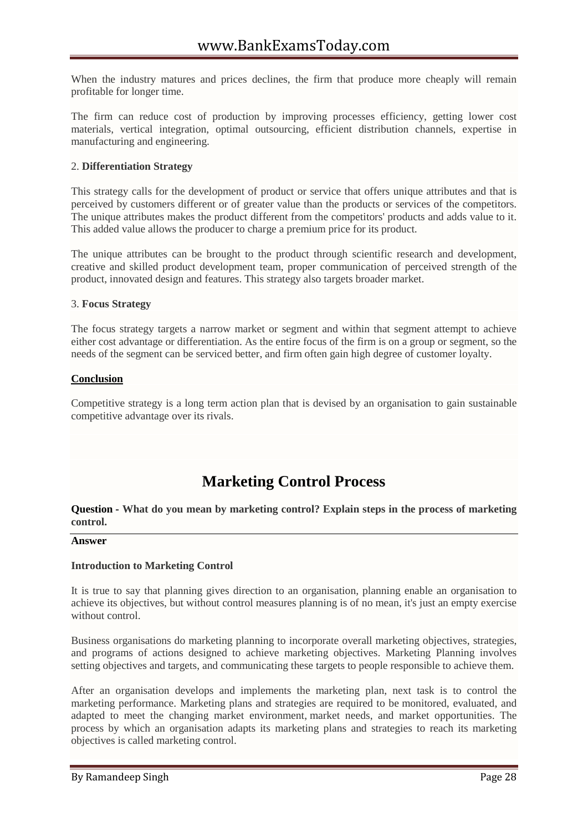When the industry matures and prices declines, the firm that produce more cheaply will remain profitable for longer time.

The firm can reduce cost of production by improving processes efficiency, getting lower cost materials, vertical integration, optimal outsourcing, efficient distribution channels, expertise in manufacturing and engineering.

# 2. **Differentiation Strategy**

This strategy calls for the development of product or service that offers unique attributes and that is perceived by customers different or of greater value than the products or services of the competitors. The unique attributes makes the product different from the competitors' products and adds value to it. This added value allows the producer to charge a premium price for its product.

The unique attributes can be brought to the product through scientific research and development, creative and skilled product development team, proper communication of perceived strength of the product, innovated design and features. This strategy also targets broader market.

# 3. **Focus Strategy**

The focus strategy targets a narrow market or segment and within that segment attempt to achieve either cost advantage or differentiation. As the entire focus of the firm is on a group or segment, so the needs of the segment can be serviced better, and firm often gain high degree of customer loyalty.

# **Conclusion**

Competitive strategy is a long term action plan that is devised by an organisation to gain sustainable competitive advantage over its rivals.

# **Marketing Control Process**

**Question - What do you mean by marketing control? Explain steps in the process of marketing control.**

#### **Answer**

# **Introduction to Marketing Control**

It is true to say that planning gives direction to an organisation, planning enable an organisation to achieve its objectives, but without control measures planning is of no mean, it's just an empty exercise without control.

Business organisations do marketing planning to incorporate overall marketing objectives, strategies, and programs of actions designed to achieve marketing objectives. Marketing Planning involves setting objectives and targets, and communicating these targets to people responsible to achieve them.

After an organisation develops and implements the marketing plan, next task is to control the marketing performance. Marketing plans and strategies are required to be monitored, evaluated, and adapted to meet the changing market environment, market needs, and market opportunities. The process by which an organisation adapts its marketing plans and strategies to reach its marketing objectives is called marketing control.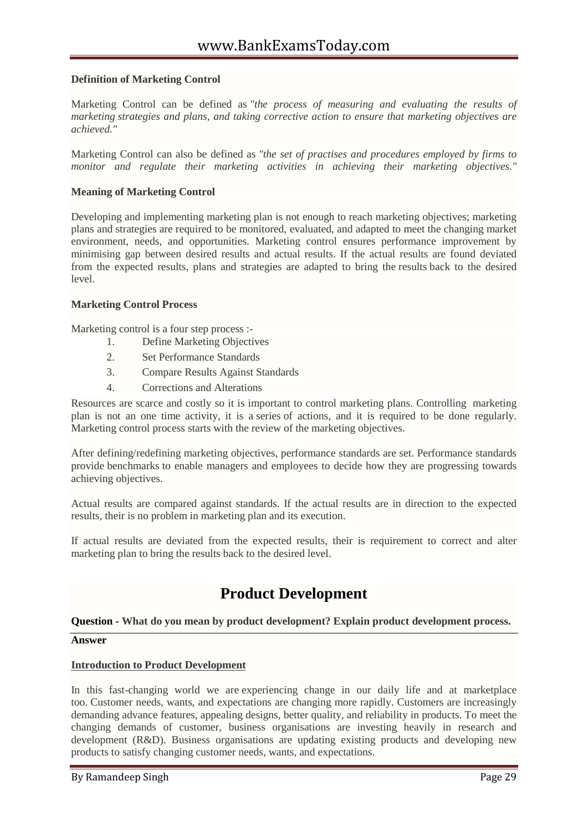# **Definition of Marketing Control**

Marketing Control can be defined as *"the process of measuring and evaluating the results of marketing strategies and plans, and taking corrective action to ensure that marketing objectives are achieved."*

Marketing Control can also be defined as *"the set of practises and procedures employed by firms to monitor and regulate their marketing activities in achieving their marketing objectives."*

# **Meaning of Marketing Control**

Developing and implementing marketing plan is not enough to reach marketing objectives; marketing plans and strategies are required to be monitored, evaluated, and adapted to meet the changing market environment, needs, and opportunities. Marketing control ensures performance improvement by minimising gap between desired results and actual results. If the actual results are found deviated from the expected results, plans and strategies are adapted to bring the results back to the desired level.

#### **Marketing Control Process**

Marketing control is a four step process :-

- 1. Define Marketing Objectives
- 2. Set Performance Standards
- 3. Compare Results Against Standards
- 4. Corrections and Alterations

Resources are scarce and costly so it is important to control marketing plans. Controlling marketing plan is not an one time activity, it is a series of actions, and it is required to be done regularly. Marketing control process starts with the review of the marketing objectives.

After defining/redefining marketing objectives, performance standards are set. Performance standards provide benchmarks to enable managers and employees to decide how they are progressing towards achieving objectives.

Actual results are compared against standards. If the actual results are in direction to the expected results, their is no problem in marketing plan and its execution.

If actual results are deviated from the expected results, their is requirement to correct and alter marketing plan to bring the results back to the desired level.

# **Product Development**

# **Question - What do you mean by product development? Explain product development process.**

#### **Answer**

#### **Introduction to Product Development**

In this fast-changing world we are experiencing change in our daily life and at marketplace too. Customer needs, wants, and expectations are changing more rapidly. Customers are increasingly demanding advance features, appealing designs, better quality, and reliability in products. To meet the changing demands of customer, business organisations are investing heavily in research and development (R&D). Business organisations are updating existing products and developing new products to satisfy changing customer needs, wants, and expectations.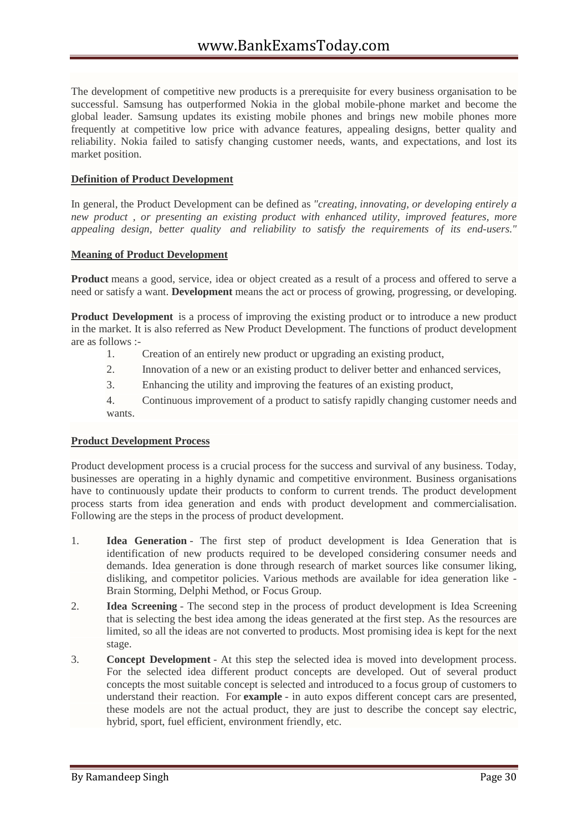The development of competitive new products is a prerequisite for every business organisation to be successful. Samsung has outperformed Nokia in the global mobile-phone market and become the global leader. Samsung updates its existing mobile phones and brings new mobile phones more frequently at competitive low price with advance features, appealing designs, better quality and reliability. Nokia failed to satisfy changing customer needs, wants, and expectations, and lost its market position.

# **Definition of Product Development**

In general, the Product Development can be defined as *"creating, innovating, or developing entirely a new product , or presenting an existing product with enhanced utility, improved features, more appealing design, better quality and reliability to satisfy the requirements of its end-users."*

# **Meaning of Product Development**

**Product** means a good, service, idea or object created as a result of a process and offered to serve a need or satisfy a want. **Development** means the act or process of growing, progressing, or developing.

**Product Development** is a process of improving the existing product or to introduce a new product in the market. It is also referred as New Product Development. The functions of product development are as follows :-

- 1. Creation of an entirely new product or upgrading an existing product,
- 2. Innovation of a new or an existing product to deliver better and enhanced services,
- 3. Enhancing the utility and improving the features of an existing product,

4. Continuous improvement of a product to satisfy rapidly changing customer needs and wants.

# **Product Development Process**

Product development process is a crucial process for the success and survival of any business. Today, businesses are operating in a highly dynamic and competitive environment. Business organisations have to continuously update their products to conform to current trends. The product development process starts from idea generation and ends with product development and commercialisation. Following are the steps in the process of product development.

- 1. **Idea Generation** The first step of product development is Idea Generation that is identification of new products required to be developed considering consumer needs and demands. Idea generation is done through research of market sources like consumer liking, disliking, and competitor policies. Various methods are available for idea generation like - Brain Storming, Delphi Method, or Focus Group.
- 2. **Idea Screening** The second step in the process of product development is Idea Screening that is selecting the best idea among the ideas generated at the first step. As the resources are limited, so all the ideas are not converted to products. Most promising idea is kept for the next stage.
- 3. **Concept Development** At this step the selected idea is moved into development process. For the selected idea different product concepts are developed. Out of several product concepts the most suitable concept is selected and introduced to a focus group of customers to understand their reaction. For **example** - in auto expos different concept cars are presented, these models are not the actual product, they are just to describe the concept say electric, hybrid, sport, fuel efficient, environment friendly, etc.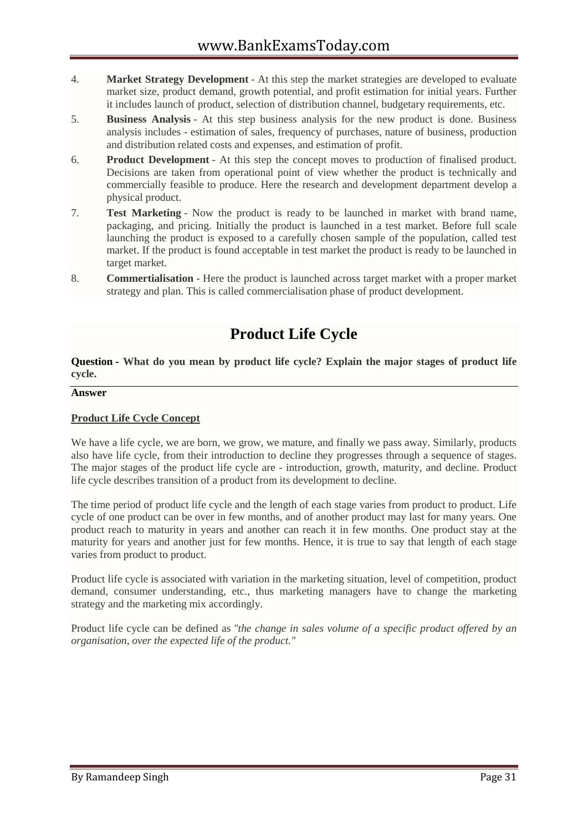- 4. **Market Strategy Development** At this step the market strategies are developed to evaluate market size, product demand, growth potential, and profit estimation for initial years. Further it includes launch of product, selection of distribution channel, budgetary requirements, etc.
- 5. **Business Analysis** At this step business analysis for the new product is done. Business analysis includes - estimation of sales, frequency of purchases, nature of business, production and distribution related costs and expenses, and estimation of profit.
- 6. **Product Development** At this step the concept moves to production of finalised product. Decisions are taken from operational point of view whether the product is technically and commercially feasible to produce. Here the research and development department develop a physical product.
- 7. **Test Marketing** Now the product is ready to be launched in market with brand name, packaging, and pricing. Initially the product is launched in a test market. Before full scale launching the product is exposed to a carefully chosen sample of the population, called test market. If the product is found acceptable in test market the product is ready to be launched in target market.
- 8. **Commertialisation** Here the product is launched across target market with a proper market strategy and plan. This is called commercialisation phase of product development.

# **Product Life Cycle**

**Question - What do you mean by product life cycle? Explain the major stages of product life cycle.**

#### **Answer**

# **Product Life Cycle Concept**

We have a life cycle, we are born, we grow, we mature, and finally we pass away. Similarly, products also have life cycle, from their introduction to decline they progresses through a sequence of stages. The major stages of the product life cycle are - introduction, growth, maturity, and decline. Product life cycle describes transition of a product from its development to decline.

The time period of product life cycle and the length of each stage varies from product to product. Life cycle of one product can be over in few months, and of another product may last for many years. One product reach to maturity in years and another can reach it in few months. One product stay at the maturity for years and another just for few months. Hence, it is true to say that length of each stage varies from product to product.

Product life cycle is associated with variation in the marketing situation, level of competition, product demand, consumer understanding, etc., thus marketing managers have to change the marketing strategy and the marketing mix accordingly.

Product life cycle can be defined as *"the change in sales volume of a specific product offered by an organisation, over the expected life of the product."*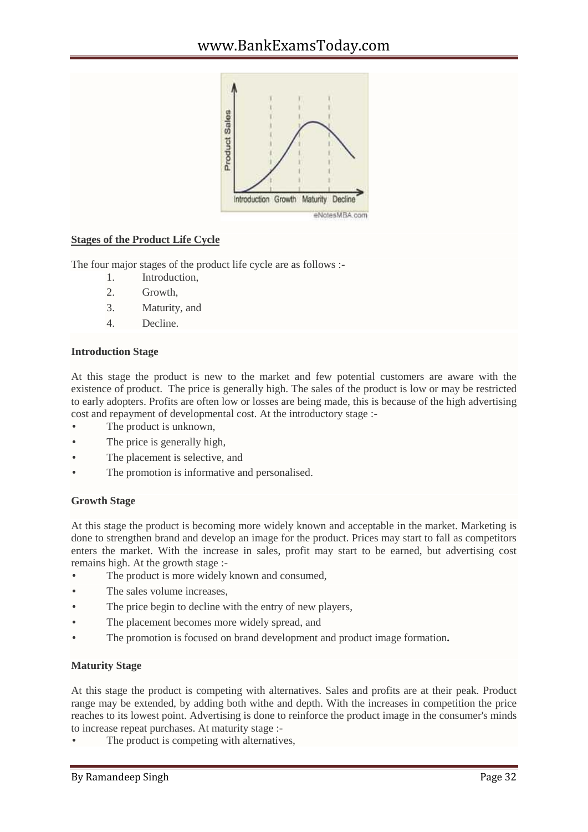

# **Stages of the Product Life Cycle**

The four major stages of the product life cycle are as follows :-

- 1. Introduction,
- 2. Growth,
- 3. Maturity, and
- 4. Decline.

# **Introduction Stage**

At this stage the product is new to the market and few potential customers are aware with the existence of product. The price is generally high. The sales of the product is low or may be restricted to early adopters. Profits are often low or losses are being made, this is because of the high advertising cost and repayment of developmental cost. At the introductory stage :-

- The product is unknown,
- The price is generally high,
- The placement is selective, and
- The promotion is informative and personalised.

# **Growth Stage**

At this stage the product is becoming more widely known and acceptable in the market. Marketing is done to strengthen brand and develop an image for the product. Prices may start to fall as competitors enters the market. With the increase in sales, profit may start to be earned, but advertising cost remains high. At the growth stage :-

- The product is more widely known and consumed,
- The sales volume increases,
- The price begin to decline with the entry of new players,
- The placement becomes more widely spread, and
- The promotion is focused on brand development and product image formation**.**

# **Maturity Stage**

At this stage the product is competing with alternatives. Sales and profits are at their peak. Product range may be extended, by adding both withe and depth. With the increases in competition the price reaches to its lowest point. Advertising is done to reinforce the product image in the consumer's minds to increase repeat purchases. At maturity stage :-

The product is competing with alternatives,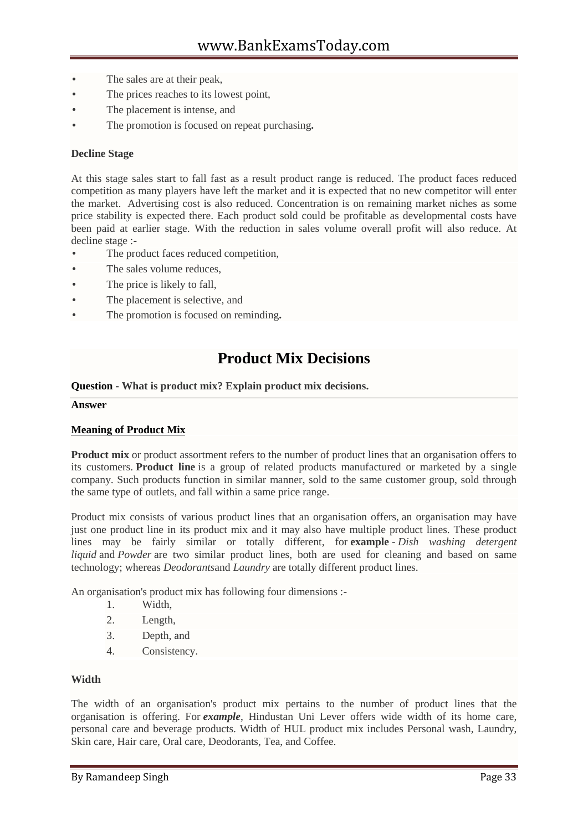- The sales are at their peak,
- The prices reaches to its lowest point,
- The placement is intense, and
- The promotion is focused on repeat purchasing**.**

# **Decline Stage**

At this stage sales start to fall fast as a result product range is reduced. The product faces reduced competition as many players have left the market and it is expected that no new competitor will enter the market. Advertising cost is also reduced. Concentration is on remaining market niches as some price stability is expected there. Each product sold could be profitable as developmental costs have been paid at earlier stage. With the reduction in sales volume overall profit will also reduce. At decline stage :-

- The product faces reduced competition,
- The sales volume reduces,
- The price is likely to fall,
- The placement is selective, and
- The promotion is focused on reminding**.**

# **Product Mix Decisions**

#### **Question - What is product mix? Explain product mix decisions.**

#### **Answer**

#### **Meaning of Product Mix**

**Product mix** or product assortment refers to the number of product lines that an organisation offers to its customers. **Product line** is a group of related products manufactured or marketed by a single company. Such products function in similar manner, sold to the same customer group, sold through the same type of outlets, and fall within a same price range.

Product mix consists of various product lines that an organisation offers, an organisation may have just one product line in its product mix and it may also have multiple product lines. These product lines may be fairly similar or totally different, for **example** - *Dish washing detergent liquid* and *Powder* are two similar product lines, both are used for cleaning and based on same technology; whereas *Deodorants*and *Laundry* are totally different product lines.

An organisation's product mix has following four dimensions :-

- 1. Width,
- 2. Length,
- 3. Depth, and
- 4. Consistency.

#### **Width**

The width of an organisation's product mix pertains to the number of product lines that the organisation is offering. For *example*, Hindustan Uni Lever offers wide width of its home care, personal care and beverage products. Width of HUL product mix includes Personal wash, Laundry, Skin care, Hair care, Oral care, Deodorants, Tea, and Coffee.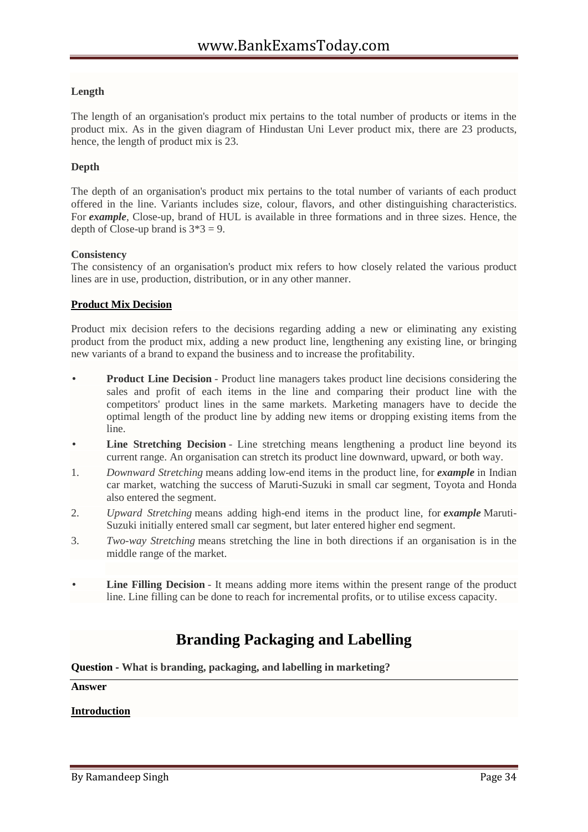# **Length**

The length of an organisation's product mix pertains to the total number of products or items in the product mix. As in the given diagram of Hindustan Uni Lever product mix, there are 23 products, hence, the length of product mix is 23.

# **Depth**

The depth of an organisation's product mix pertains to the total number of variants of each product offered in the line. Variants includes size, colour, flavors, and other distinguishing characteristics. For *example*, Close-up, brand of HUL is available in three formations and in three sizes. Hence, the depth of Close-up brand is  $3*3 = 9$ .

# **Consistency**

The consistency of an organisation's product mix refers to how closely related the various product lines are in use, production, distribution, or in any other manner.

# **Product Mix Decision**

Product mix decision refers to the decisions regarding adding a new or eliminating any existing product from the product mix, adding a new product line, lengthening any existing line, or bringing new variants of a brand to expand the business and to increase the profitability.

- **Product Line Decision** Product line managers takes product line decisions considering the sales and profit of each items in the line and comparing their product line with the competitors' product lines in the same markets. Marketing managers have to decide the optimal length of the product line by adding new items or dropping existing items from the line.
- **Line Stretching Decision** Line stretching means lengthening a product line beyond its current range. An organisation can stretch its product line downward, upward, or both way.
- 1. *Downward Stretching* means adding low-end items in the product line, for *example* in Indian car market, watching the success of Maruti-Suzuki in small car segment, Toyota and Honda also entered the segment.
- 2. *Upward Stretching* means adding high-end items in the product line, for *example* Maruti- Suzuki initially entered small car segment, but later entered higher end segment.
- 3. *Two-way Stretching* means stretching the line in both directions if an organisation is in the middle range of the market.
- Line Filling Decision It means adding more items within the present range of the product line. Line filling can be done to reach for incremental profits, or to utilise excess capacity.

# **Branding Packaging and Labelling**

**Question - What is branding, packaging, and labelling in marketing?**

#### **Answer**

# **Introduction**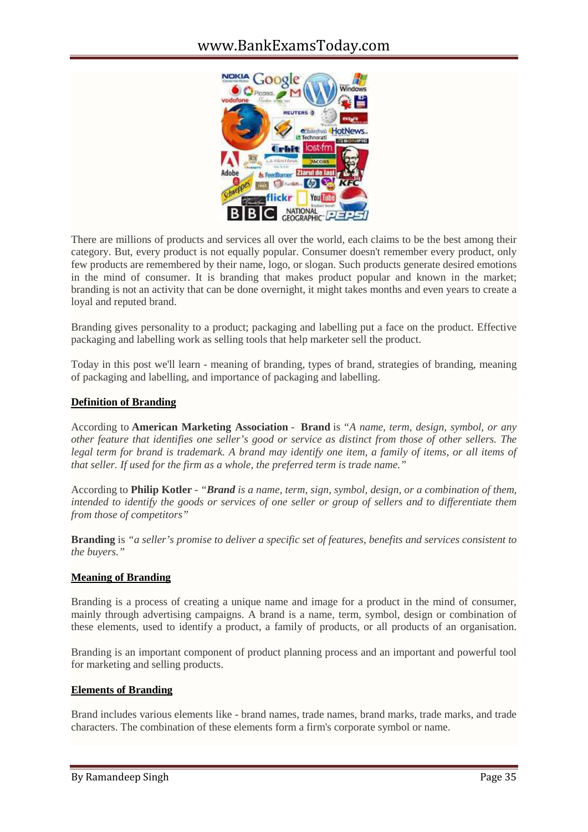

There are millions of products and services all over the world, each claims to be the best among their category. But, every product is not equally popular. Consumer doesn't remember every product, only few products are remembered by their name, logo, or slogan. Such products generate desired emotions in the mind of consumer. It is branding that makes product popular and known in the market; branding is not an activity that can be done overnight, it might takes months and even years to create a loyal and reputed brand.

Branding gives personality to a product; packaging and labelling put a face on the product. Effective packaging and labelling work as selling tools that help marketer sell the product.

Today in this post we'll learn - meaning of branding, types of brand, strategies of branding, meaning of packaging and labelling, and importance of packaging and labelling.

# **Definition of Branding**

According to **American Marketing Association** - **Brand** is *"A name, term, design, symbol, or any other feature that identifies one seller's good or service as distinct from those of other sellers. The legal term for brand is trademark. A brand may identify one item, a family of items, or all items of that seller. If used for the firm as a whole, the preferred term is trade name."*

According to **Philip Kotler** - *"Brand is a name, term, sign, symbol, design, or a combination of them, intended to identify the goods or services of one seller or group of sellers and to differentiate them from those of competitors"*

**Branding** is *"a seller's promise to deliver a specific set of features, benefits and services consistent to the buyers."*

# **Meaning of Branding**

Branding is a process of creating a unique name and image for a product in the mind of consumer, mainly through advertising campaigns. A brand is a name, term, symbol, design or combination of these elements, used to identify a product, a family of products, or all products of an organisation.

Branding is an important component of product planning process and an important and powerful tool for marketing and selling products.

#### **Elements of Branding**

Brand includes various elements like - brand names, trade names, brand marks, trade marks, and trade characters. The combination of these elements form a firm's corporate symbol or name.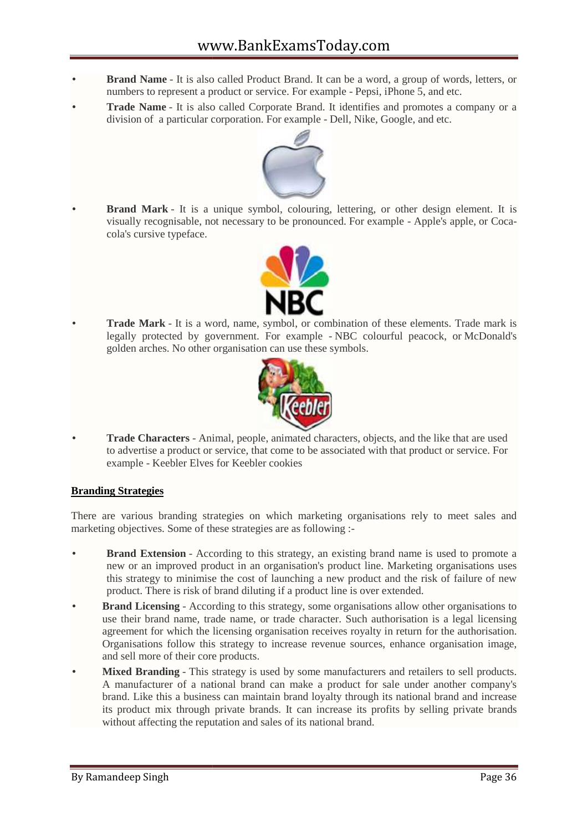- **Brand Name** It is also called Product Brand. It can be a word, a group of words, letters, or numbers to represent a product or service. For example - Pepsi, iPhone 5, and etc.
- **Trade Name** It is also called Corporate Brand. It identifies and promotes a company or a **Trade Name** - It is also called Corporate Brand. It identifies and promotes a condivision of a particular corporation. For example - Dell, Nike, Google, and etc.



 **Brand Mark** - It is a unique symbol, colouring, lettering, or other design element. It is **Brand Mark** - It is a unique symbol, colouring, lettering, or other design element. It is visually recognisable, not necessary to be pronounced. For example - Apple's apple, or Cocacola's cursive typeface.



 **Trade Mark** - It is a word, name, symbol, or combination of these elements. Trade mark is **Trade Mark** - It is a word, name, symbol, or combination of these elements. Trade mark is legally protected by government. For example - NBC colourful peacock, or McDonald's golden arches. No other organisation can use these symbols.



 **Trade Characters** - Animal, people, animated characters, objects, and the like that are used to advertise a product or service, that come to be associated with that product or service. For example - Keebler Elves for Keebler cookies

# **Branding Strategies**

There are various branding strategies on which marketing organisations rely to meet sales and marketing objectives. Some of these strategies are as following :-

- **Brand Extension** According to this strategy, an existing brand name is used to promote a new or an improved product in an organisation's product line. Marketing organisations uses this strategy to minimise the cost of launching a new product and the risk of failure of new product. There is risk of brand diluting if a product line is over extended. are various branding strategies on which marketing organisations rely to meet sales and<br>ing objectives. Some of these strategies are as following :-<br>**Brand Extension** - According to this strategy, an existing brand name is
- **Brand Licensing** According to this strategy, some organisations allow other organisations to use their brand name, trade name, or trade character. Such authorisation is a legal licensing agreement for which the licensing organisation receives royalty in return for the authorisation. Organisations follow this strategy to increase revenue sources, enhance organisation image, and sell more of their core products. **Brand Mark - It is a unique symbol, colouring, lettering, or other design element. It is<br>
orisually recognisable, not necessary to be pronounced. For example - Apple's apple, or Coca-<br>
sivally recognisable, not necessary**
- **Mixed Branding** This strategy is used by some manufacturers and retailers to sell products. A manufacturer of a national brand can make a product for sale under another company's brand. Like this a business can maintain brand loyalty through its national brand and increase its product mix through private brands. It can increase its profits by selling private brands without affecting the reputation and sales of its national brand.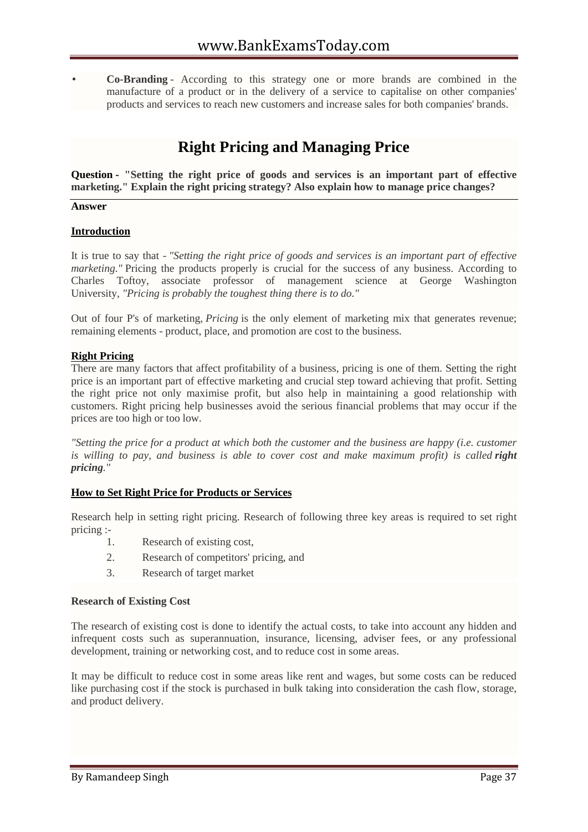**Co-Branding** - According to this strategy one or more brands are combined in the manufacture of a product or in the delivery of a service to capitalise on other companies' products and services to reach new customers and increase sales for both companies' brands.

# **Right Pricing and Managing Price**

**Question - "Setting the right price of goods and services is an important part of effective marketing." Explain the right pricing strategy? Also explain how to manage price changes?**

#### **Answer**

#### **Introduction**

It is true to say that - *"Setting the right price of goods and services is an important part of effective marketing.*" Pricing the products properly is crucial for the success of any business. According to Charles Toftoy, associate professor of management science at George Washington University, *"Pricing is probably the toughest thing there is to do."*

Out of four P's of marketing, *Pricing* is the only element of marketing mix that generates revenue; remaining elements - product, place, and promotion are cost to the business.

#### **Right Pricing**

There are many factors that affect profitability of a business, pricing is one of them. Setting the right price is an important part of effective marketing and crucial step toward achieving that profit. Setting the right price not only maximise profit, but also help in maintaining a good relationship with customers. Right pricing help businesses avoid the serious financial problems that may occur if the prices are too high or too low.

*"Setting the price for a product at which both the customer and the business are happy (i.e. customer* is willing to pay, and business is able to cover cost and make maximum profit) is called **right** *pricing."*

#### **How to Set Right Price for Products or Services**

Research help in setting right pricing. Research of following three key areas is required to set right pricing :-<br>1. Research of existing cost,

- 
- 2. Research of competitors' pricing, and
- 3. Research of target market

#### **Research of Existing Cost**

The research of existing cost is done to identify the actual costs, to take into account any hidden and infrequent costs such as superannuation, insurance, licensing, adviser fees, or any professional development, training or networking cost, and to reduce cost in some areas.

It may be difficult to reduce cost in some areas like rent and wages, but some costs can be reduced like purchasing cost if the stock is purchased in bulk taking into consideration the cash flow, storage, and product delivery.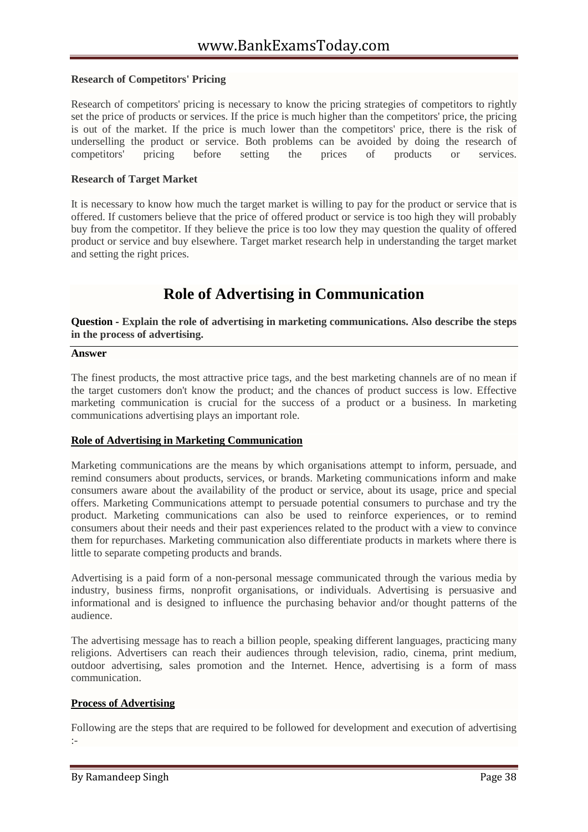# **Research of Competitors' Pricing**

Research of competitors' pricing is necessary to know the pricing strategies of competitors to rightly set the price of products or services. If the price is much higher than the competitors' price, the pricing is out of the market. If the price is much lower than the competitors' price, there is the risk of underselling the product or service. Both problems can be avoided by doing the research of competitors' pricing before setting the prices of products or services.

#### **Research of Target Market**

It is necessary to know how much the target market is willing to pay for the product or service that is offered. If customers believe that the price of offered product or service is too high they will probably buy from the competitor. If they believe the price is too low they may question the quality of offered product or service and buy elsewhere. Target market research help in understanding the target market and setting the right prices.

# **Role of Advertising in Communication**

**Question - Explain the role of advertising in marketing communications. Also describe the steps in the process of advertising.**

#### **Answer**

The finest products, the most attractive price tags, and the best marketing channels are of no mean if the target customers don't know the product; and the chances of product success is low. Effective marketing communication is crucial for the success of a product or a business. In marketing communications advertising plays an important role.

#### **Role of Advertising in Marketing Communication**

Marketing communications are the means by which organisations attempt to inform, persuade, and remind consumers about products, services, or brands. Marketing communications inform and make consumers aware about the availability of the product or service, about its usage, price and special offers. Marketing Communications attempt to persuade potential consumers to purchase and try the product. Marketing communications can also be used to reinforce experiences, or to remind consumers about their needs and their past experiences related to the product with a view to convince them for repurchases. Marketing communication also differentiate products in markets where there is little to separate competing products and brands.

Advertising is a paid form of a non-personal message communicated through the various media by industry, business firms, nonprofit organisations, or individuals. Advertising is persuasive and informational and is designed to influence the purchasing behavior and/or thought patterns of the audience.

The advertising message has to reach a billion people, speaking different languages, practicing many religions. Advertisers can reach their audiences through television, radio, cinema, print medium, outdoor advertising, sales promotion and the Internet. Hence, advertising is a form of mass communication.

#### **Process of Advertising**

Following are the steps that are required to be followed for development and execution of advertising :-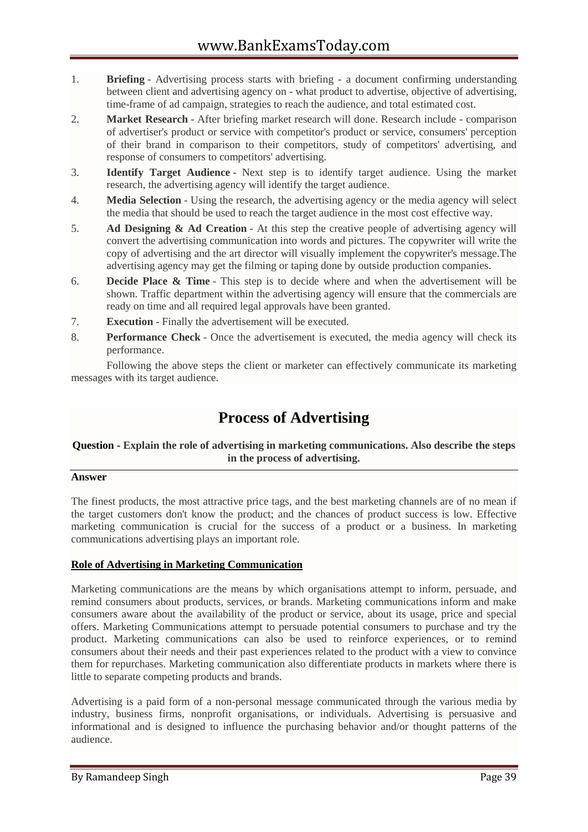- 1. **Briefing** Advertising process starts with briefing a document confirming understanding between client and advertising agency on - what product to advertise, objective of advertising, time-frame of ad campaign, strategies to reach the audience, and total estimated cost.
- 2. **Market Research** After briefing market research will done. Research include comparison of advertiser's product or service with competitor's product or service, consumers' perception of their brand in comparison to their competitors, study of competitors' advertising, and response of consumers to competitors' advertising.
- 3. **Identify Target Audience** Next step is to identify target audience. Using the market research, the advertising agency will identify the target audience.
- 4. **Media Selection** Using the research, the advertising agency or the media agency will select the media that should be used to reach the target audience in the most cost effective way.
- 5. **Ad Designing & Ad Creation** At this step the creative people of advertising agency will convert the advertising communication into words and pictures. The copywriter will write the copy of advertising and the art director will visually implement the copywriter's message.The advertising agency may get the filming or taping done by outside production companies.
- 6. **Decide Place & Time** This step is to decide where and when the advertisement will be shown. Traffic department within the advertising agency will ensure that the commercials are ready on time and all required legal approvals have been granted.
- 7. **Execution** Finally the advertisement will be executed.
- 8. **Performance Check** Once the advertisement is executed, the media agency will check its performance.

Following the above steps the client or marketer can effectively communicate its marketing messages with its target audience.

# **Process of Advertising**

# **Question - Explain the role of advertising in marketing communications. Also describe the steps in the process of advertising.**

# **Answer**

The finest products, the most attractive price tags, and the best marketing channels are of no mean if the target customers don't know the product; and the chances of product success is low. Effective marketing communication is crucial for the success of a product or a business. In marketing communications advertising plays an important role.

# **Role of Advertising in Marketing Communication**

Marketing communications are the means by which organisations attempt to inform, persuade, and remind consumers about products, services, or brands. Marketing communications inform and make consumers aware about the availability of the product or service, about its usage, price and special offers. Marketing Communications attempt to persuade potential consumers to purchase and try the product. Marketing communications can also be used to reinforce experiences, or to remind consumers about their needs and their past experiences related to the product with a view to convince them for repurchases. Marketing communication also differentiate products in markets where there is little to separate competing products and brands.

Advertising is a paid form of a non-personal message communicated through the various media by industry, business firms, nonprofit organisations, or individuals. Advertising is persuasive and informational and is designed to influence the purchasing behavior and/or thought patterns of the audience.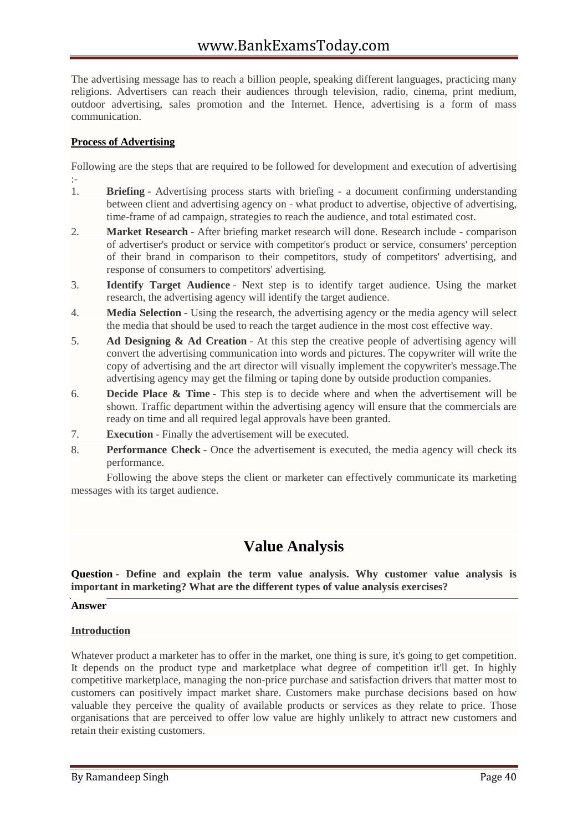The advertising message has to reach a billion people, speaking different languages, practicing many religions. Advertisers can reach their audiences through television, radio, cinema, print medium, outdoor advertising, sales promotion and the Internet. Hence, advertising is a form of mass communication.

# **Process of Advertising**

Following are the steps that are required to be followed for development and execution of advertising :-1. **Briefing** - Advertising process starts with briefing - a document confirming understanding

- between client and advertising agency on what product to advertise, objective of advertising, time-frame of ad campaign, strategies to reach the audience, and total estimated cost.
- 2. **Market Research** After briefing market research will done. Research include comparison of advertiser's product or service with competitor's product or service, consumers' perception of their brand in comparison to their competitors, study of competitors' advertising, and response of consumers to competitors' advertising.
- 3. **Identify Target Audience** Next step is to identify target audience. Using the market research, the advertising agency will identify the target audience.
- 4. **Media Selection** Using the research, the advertising agency or the media agency will select the media that should be used to reach the target audience in the most cost effective way.
- 5. **Ad Designing & Ad Creation** At this step the creative people of advertising agency will convert the advertising communication into words and pictures. The copywriter will write the copy of advertising and the art director will visually implement the copywriter's message.The advertising agency may get the filming or taping done by outside production companies.
- 6. **Decide Place & Time** This step is to decide where and when the advertisement will be shown. Traffic department within the advertising agency will ensure that the commercials are ready on time and all required legal approvals have been granted.
- 7. **Execution** Finally the advertisement will be executed.
- 8. **Performance Check** Once the advertisement is executed, the media agency will check its performance.

Following the above steps the client or marketer can effectively communicate its marketing messages with its target audience.

# **Value Analysis**

**Question - Define and explain the term value analysis. Why customer value analysis is important in marketing? What are the different types of value analysis exercises?**

# **Answer**

# **Introduction**

Whatever product a marketer has to offer in the market, one thing is sure, it's going to get competition. It depends on the product type and marketplace what degree of competition it'll get. In highly competitive marketplace, managing the non-price purchase and satisfaction drivers that matter most to customers can positively impact market share. Customers make purchase decisions based on how valuable they perceive the quality of available products or services as they relate to price. Those organisations that are perceived to offer low value are highly unlikely to attract new customers and retain their existing customers.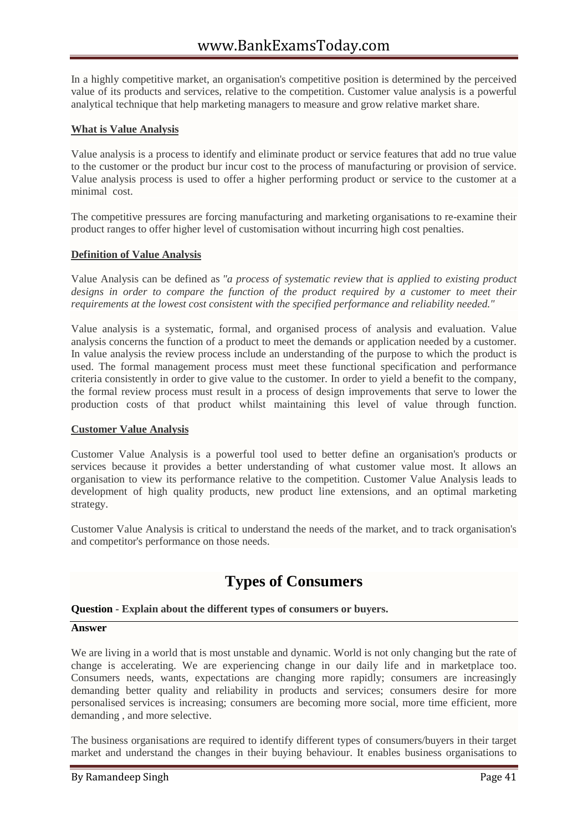In a highly competitive market, an organisation's competitive position is determined by the perceived value of its products and services, relative to the competition. Customer value analysis is a powerful analytical technique that help marketing managers to measure and grow relative market share.

# **What is Value Analysis**

Value analysis is a process to identify and eliminate product or service features that add no true value to the customer or the product bur incur cost to the process of manufacturing or provision of service. Value analysis process is used to offer a higher performing product or service to the customer at a minimal cost.

The competitive pressures are forcing manufacturing and marketing organisations to re-examine their product ranges to offer higher level of customisation without incurring high cost penalties.

# **Definition of Value Analysis**

Value Analysis can be defined as *"a process of systematic review that is applied to existing product designs in order to compare the function of the product required by a customer to meet their requirements at the lowest cost consistent with the specified performance and reliability needed."*

Value analysis is a systematic, formal, and organised process of analysis and evaluation. Value analysis concerns the function of a product to meet the demands or application needed by a customer. In value analysis the review process include an understanding of the purpose to which the product is used. The formal management process must meet these functional specification and performance criteria consistently in order to give value to the customer. In order to yield a benefit to the company, the formal review process must result in a process of design improvements that serve to lower the production costs of that product whilst maintaining this level of value through function.

# **Customer Value Analysis**

Customer Value Analysis is a powerful tool used to better define an organisation's products or services because it provides a better understanding of what customer value most. It allows an organisation to view its performance relative to the competition. Customer Value Analysis leads to development of high quality products, new product line extensions, and an optimal marketing strategy.

Customer Value Analysis is critical to understand the needs of the market, and to track organisation's and competitor's performance on those needs.

# **Types of Consumers**

# **Question - Explain about the different types of consumers or buyers.**

#### **Answer**

We are living in a world that is most unstable and dynamic. World is not only changing but the rate of change is accelerating. We are experiencing change in our daily life and in marketplace too. Consumers needs, wants, expectations are changing more rapidly; consumers are increasingly demanding better quality and reliability in products and services; consumers desire for more personalised services is increasing; consumers are becoming more social, more time efficient, more demanding , and more selective.

The business organisations are required to identify different types of consumers/buyers in their target market and understand the changes in their buying behaviour. It enables business organisations to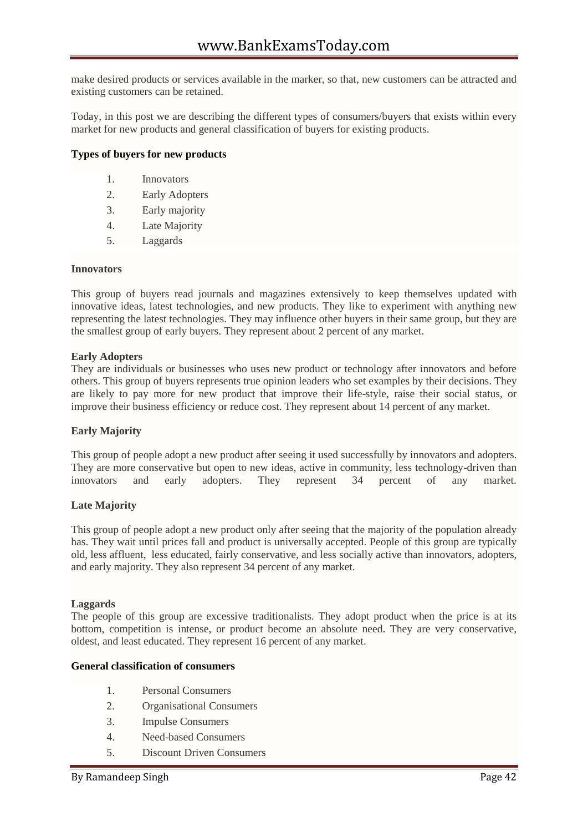make desired products or services available in the marker, so that, new customers can be attracted and existing customers can be retained.

Today, in this post we are describing the different types of consumers/buyers that exists within every market for new products and general classification of buyers for existing products.

# **Types of buyers for new products**

- 1. Innovators
- 2. Early Adopters
- 3. Early majority
- 4. Late Majority
- 5. Laggards

#### **Innovators**

This group of buyers read journals and magazines extensively to keep themselves updated with innovative ideas, latest technologies, and new products. They like to experiment with anything new representing the latest technologies. They may influence other buyers in their same group, but they are the smallest group of early buyers. They represent about 2 percent of any market.

#### **Early Adopters**

They are individuals or businesses who uses new product or technology after innovators and before others. This group of buyers represents true opinion leaders who set examples by their decisions. They are likely to pay more for new product that improve their life-style, raise their social status, or improve their business efficiency or reduce cost. They represent about 14 percent of any market.

#### **Early Majority**

This group of people adopt a new product after seeing it used successfully by innovators and adopters. They are more conservative but open to new ideas, active in community, less technology-driven than innovators and early adopters. They represent 34 percent of any market.

#### **Late Majority**

This group of people adopt a new product only after seeing that the majority of the population already has. They wait until prices fall and product is universally accepted. People of this group are typically old, less affluent, less educated, fairly conservative, and less socially active than innovators, adopters, and early majority. They also represent 34 percent of any market.

#### **Laggards**

The people of this group are excessive traditionalists. They adopt product when the price is at its bottom, competition is intense, or product become an absolute need. They are very conservative, oldest, and least educated. They represent 16 percent of any market.

#### **General classification of consumers**

- 1. Personal Consumers
- 2. Organisational Consumers
- 3. Impulse Consumers
- 4. Need-based Consumers
- 5. Discount Driven Consumers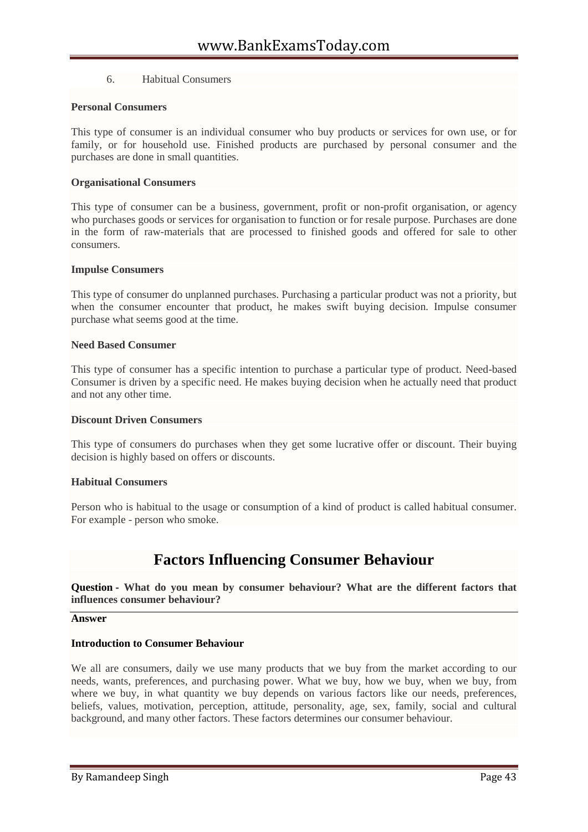# 6. Habitual Consumers

### **Personal Consumers**

This type of consumer is an individual consumer who buy products or services for own use, or for family, or for household use. Finished products are purchased by personal consumer and the purchases are done in small quantities.

### **Organisational Consumers**

This type of consumer can be a business, government, profit or non-profit organisation, or agency who purchases goods or services for organisation to function or for resale purpose. Purchases are done in the form of raw-materials that are processed to finished goods and offered for sale to other consumers.

#### **Impulse Consumers**

This type of consumer do unplanned purchases. Purchasing a particular product was not a priority, but when the consumer encounter that product, he makes swift buying decision. Impulse consumer purchase what seems good at the time.

#### **Need Based Consumer**

This type of consumer has a specific intention to purchase a particular type of product. Need-based Consumer is driven by a specific need. He makes buying decision when he actually need that product and not any other time.

#### **Discount Driven Consumers**

This type of consumers do purchases when they get some lucrative offer or discount. Their buying decision is highly based on offers or discounts.

#### **Habitual Consumers**

Person who is habitual to the usage or consumption of a kind of product is called habitual consumer. For example - person who smoke.

# **Factors Influencing Consumer Behaviour**

**Question - What do you mean by consumer behaviour? What are the different factors that influences consumer behaviour?**

#### **Answer**

#### **Introduction to Consumer Behaviour**

We all are consumers, daily we use many products that we buy from the market according to our needs, wants, preferences, and purchasing power. What we buy, how we buy, when we buy, from where we buy, in what quantity we buy depends on various factors like our needs, preferences, beliefs, values, motivation, perception, attitude, personality, age, sex, family, social and cultural background, and many other factors. These factors determines our consumer behaviour.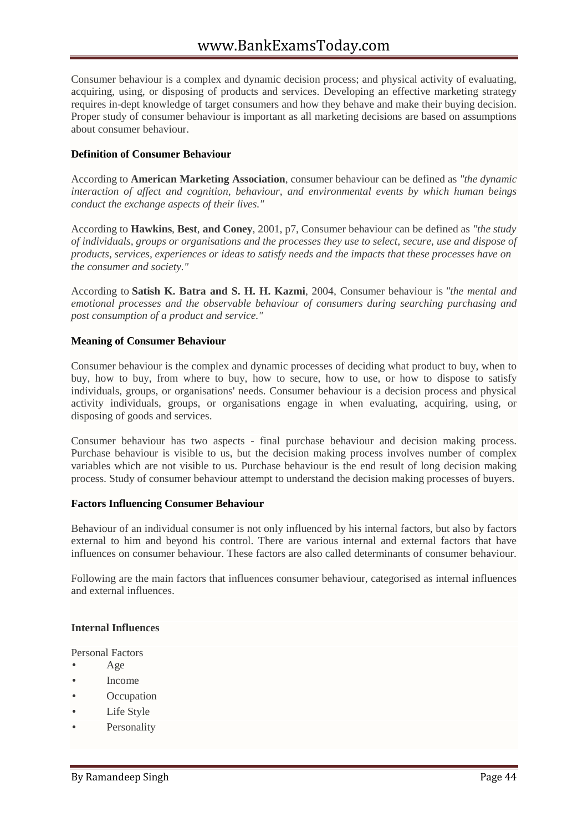Consumer behaviour is a complex and dynamic decision process; and physical activity of evaluating, acquiring, using, or disposing of products and services. Developing an effective marketing strategy requires in-dept knowledge of target consumers and how they behave and make their buying decision. Proper study of consumer behaviour is important as all marketing decisions are based on assumptions about consumer behaviour.

# **Definition of Consumer Behaviour**

According to **American Marketing Association**, consumer behaviour can be defined as *"the dynamic interaction of affect and cognition, behaviour, and environmental events by which human beings conduct the exchange aspects of their lives."*

According to **Hawkins**, **Best**, **and Coney**, 2001, p7, Consumer behaviour can be defined as *"the study of individuals, groups or organisations and the processes they use to select, secure, use and dispose of products, services, experiences or ideas to satisfy needs and the impacts that these processes have on the consumer and society."*

According to **Satish K. Batra and S. H. H. Kazmi**, 2004, Consumer behaviour is *"the mental and emotional processes and the observable behaviour of consumers during searching purchasing and post consumption of a product and service."*

# **Meaning of Consumer Behaviour**

Consumer behaviour is the complex and dynamic processes of deciding what product to buy, when to buy, how to buy, from where to buy, how to secure, how to use, or how to dispose to satisfy individuals, groups, or organisations' needs. Consumer behaviour is a decision process and physical activity individuals, groups, or organisations engage in when evaluating, acquiring, using, or disposing of goods and services.

Consumer behaviour has two aspects - final purchase behaviour and decision making process. Purchase behaviour is visible to us, but the decision making process involves number of complex variables which are not visible to us. Purchase behaviour is the end result of long decision making process. Study of consumer behaviour attempt to understand the decision making processes of buyers.

# **Factors Influencing Consumer Behaviour**

Behaviour of an individual consumer is not only influenced by his internal factors, but also by factors external to him and beyond his control. There are various internal and external factors that have influences on consumer behaviour. These factors are also called determinants of consumer behaviour.

Following are the main factors that influences consumer behaviour, categorised as internal influences and external influences.

# **Internal Influences**

Personal Factors

- Age
- Income
- **Occupation**
- Life Style
- Personality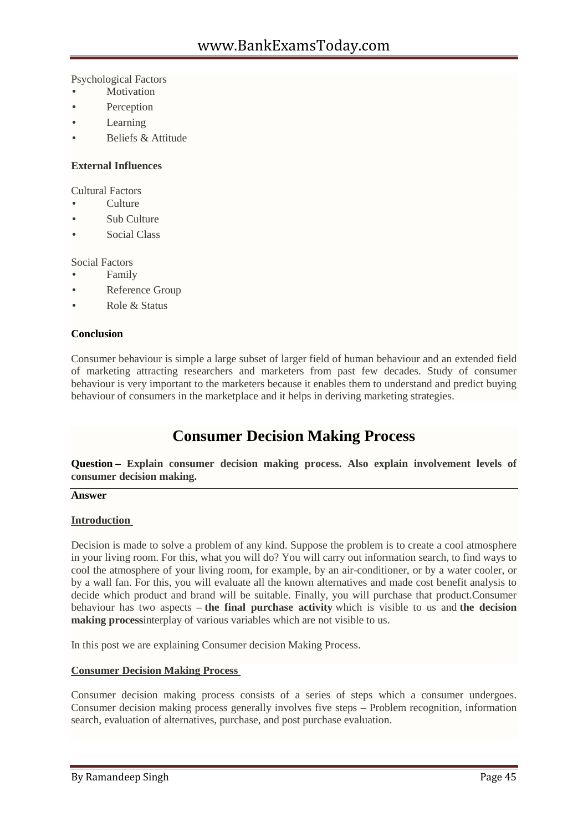Psychological Factors

- Motivation
- Perception
- Learning
- Beliefs & Attitude

# **External Influences**

Cultural Factors

- Culture
- Sub Culture
- Social Class

Social Factors

- Family
- Reference Group
- Role & Status

# **Conclusion**

Consumer behaviour is simple a large subset of larger field of human behaviour and an extended field of marketing attracting researchers and marketers from past few decades. Study of consumer behaviour is very important to the marketers because it enables them to understand and predict buying behaviour of consumers in the marketplace and it helps in deriving marketing strategies.

# **Consumer Decision Making Process**

**Question – Explain consumer decision making process. Also explain involvement levels of consumer decision making.**

#### **Answer**

# **Introduction**

Decision is made to solve a problem of any kind. Suppose the problem is to create a cool atmosphere in your living room. For this, what you will do? You will carry out information search, to find ways to cool the atmosphere of your living room, for example, by an air-conditioner, or by a water cooler, or by a wall fan. For this, you will evaluate all the known alternatives and made cost benefit analysis to decide which product and brand will be suitable. Finally, you will purchase that product.Consumer behaviour has two aspects – **the final purchase activity** which is visible to us and **the decision making process**interplay of various variables which are not visible to us.

In this post we are explaining Consumer decision Making Process.

# **Consumer Decision Making Process**

Consumer decision making process consists of a series of steps which a consumer undergoes. Consumer decision making process generally involves five steps – Problem recognition, information search, evaluation of alternatives, purchase, and post purchase evaluation.